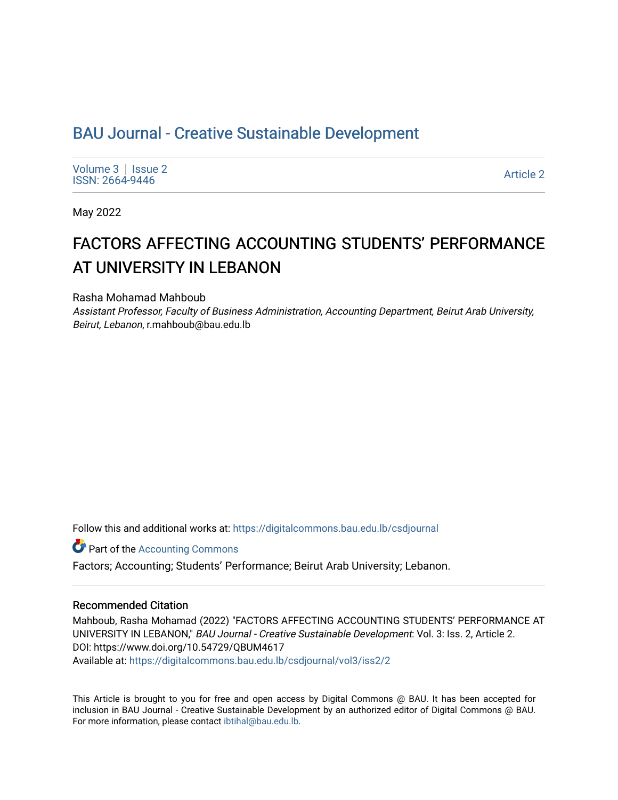## BAU Journal - Creative Sustainable Development

[Volume 3](https://digitalcommons.bau.edu.lb/csdjournal/vol3) | Issue 2 Produce 3 | ISSUE 2<br>ISSN: 2664-9446 Article 2

May 2022

# FACTORS AFFECTING ACCOUNTING STUDENTS' PERFORMANCE AT UNIVERSITY IN LEBANON

Rasha Mohamad Mahboub

Assistant Professor, Faculty of Business Administration, Accounting Department, Beirut Arab University, Beirut, Lebanon, r.mahboub@bau.edu.lb

Follow this and additional works at: [https://digitalcommons.bau.edu.lb/csdjournal](https://digitalcommons.bau.edu.lb/csdjournal?utm_source=digitalcommons.bau.edu.lb%2Fcsdjournal%2Fvol3%2Fiss2%2F2&utm_medium=PDF&utm_campaign=PDFCoverPages) 

**Part of the [Accounting Commons](https://network.bepress.com/hgg/discipline/625?utm_source=digitalcommons.bau.edu.lb%2Fcsdjournal%2Fvol3%2Fiss2%2F2&utm_medium=PDF&utm_campaign=PDFCoverPages)** 

Factors; Accounting; Students' Performance; Beirut Arab University; Lebanon.

#### Recommended Citation

Mahboub, Rasha Mohamad (2022) "FACTORS AFFECTING ACCOUNTING STUDENTS' PERFORMANCE AT UNIVERSITY IN LEBANON," BAU Journal - Creative Sustainable Development: Vol. 3: Iss. 2, Article 2. DOI: https://www.doi.org/10.54729/QBUM4617

Available at: [https://digitalcommons.bau.edu.lb/csdjournal/vol3/iss2/2](https://digitalcommons.bau.edu.lb/csdjournal/vol3/iss2/2?utm_source=digitalcommons.bau.edu.lb%2Fcsdjournal%2Fvol3%2Fiss2%2F2&utm_medium=PDF&utm_campaign=PDFCoverPages) 

This Article is brought to you for free and open access by Digital Commons @ BAU. It has been accepted for inclusion in BAU Journal - Creative Sustainable Development by an authorized editor of Digital Commons @ BAU. For more information, please contact [ibtihal@bau.edu.lb.](mailto:ibtihal@bau.edu.lb)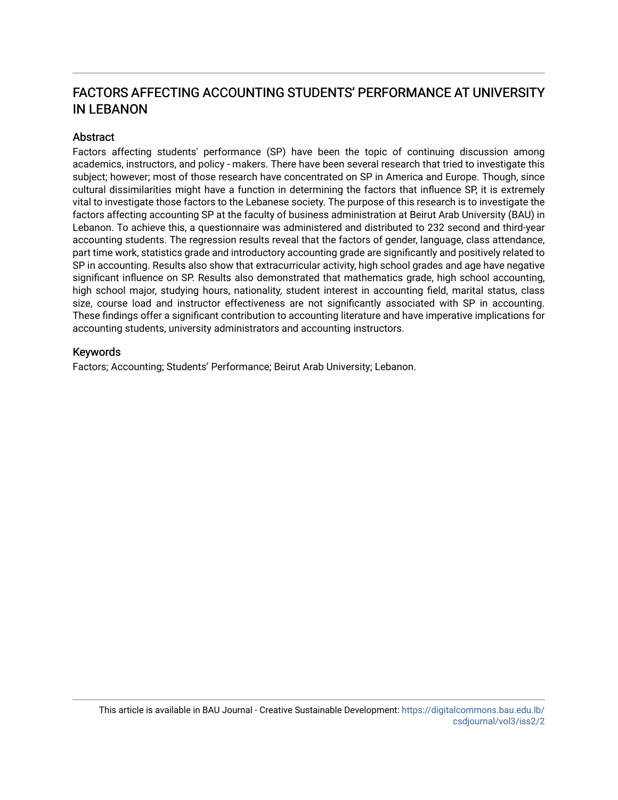## FACTORS AFFECTING ACCOUNTING STUDENTS' PERFORMANCE AT UNIVERSITY IN LEBANON

## **Abstract**

Factors affecting students' performance (SP) have been the topic of continuing discussion among academics, instructors, and policy - makers. There have been several research that tried to investigate this subject; however; most of those research have concentrated on SP in America and Europe. Though, since cultural dissimilarities might have a function in determining the factors that influence SP, it is extremely vital to investigate those factors to the Lebanese society. The purpose of this research is to investigate the factors affecting accounting SP at the faculty of business administration at Beirut Arab University (BAU) in Lebanon. To achieve this, a questionnaire was administered and distributed to 232 second and third-year accounting students. The regression results reveal that the factors of gender, language, class attendance, part time work, statistics grade and introductory accounting grade are significantly and positively related to SP in accounting. Results also show that extracurricular activity, high school grades and age have negative significant influence on SP. Results also demonstrated that mathematics grade, high school accounting, high school major, studying hours, nationality, student interest in accounting field, marital status, class size, course load and instructor effectiveness are not significantly associated with SP in accounting. These findings offer a significant contribution to accounting literature and have imperative implications for accounting students, university administrators and accounting instructors.

#### Keywords

Factors; Accounting; Students' Performance; Beirut Arab University; Lebanon.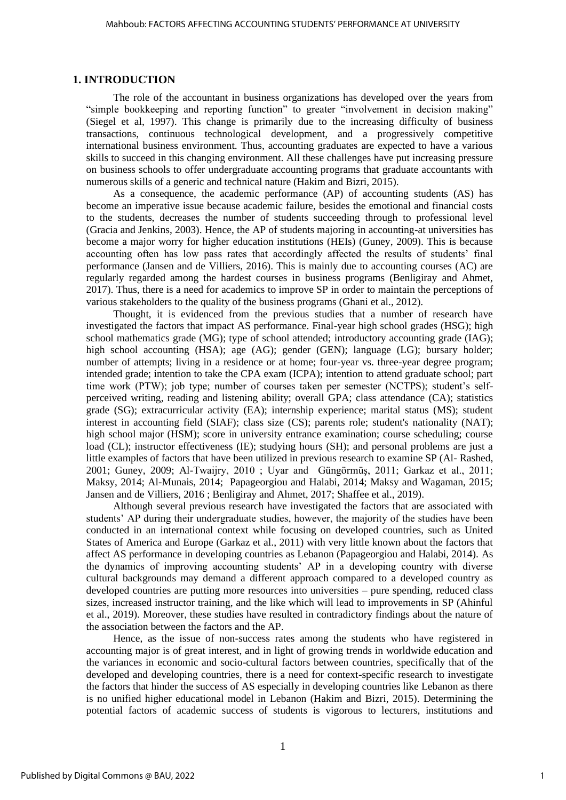#### **1. INTRODUCTION**

The role of the accountant in business organizations has developed over the years from "simple bookkeeping and reporting function" to greater "involvement in decision making" (Siegel et al, 1997). This change is primarily due to the increasing difficulty of business transactions, continuous technological development, and a progressively competitive international business environment. Thus, accounting graduates are expected to have a various skills to succeed in this changing environment. All these challenges have put increasing pressure on business schools to offer undergraduate accounting programs that graduate accountants with numerous skills of a generic and technical nature (Hakim and Bizri, 2015).

As a consequence, the academic performance (AP) of accounting students (AS) has become an imperative issue because academic failure, besides the emotional and financial costs to the students, decreases the number of students succeeding through to professional level (Gracia and Jenkins, 2003). Hence, the AP of students majoring in accounting-at universities has become a major worry for higher education institutions (HEIs) (Guney, 2009). This is because accounting often has low pass rates that accordingly affected the results of students' final performance (Jansen and de Villiers, 2016). This is mainly due to accounting courses (AC) are regularly regarded among the hardest courses in business programs (Benligiray and Ahmet, 2017). Thus, there is a need for academics to improve SP in order to maintain the perceptions of various stakeholders to the quality of the business programs (Ghani et al., 2012).

Thought, it is evidenced from the previous studies that a number of research have investigated the factors that impact AS performance. Final-year high school grades (HSG); high school mathematics grade (MG); type of school attended; introductory accounting grade (IAG); high school accounting (HSA); age (AG); gender (GEN); language (LG); bursary holder; number of attempts; living in a residence or at home; four-year vs. three-year degree program; intended grade; intention to take the CPA exam (ICPA); intention to attend graduate school; part time work (PTW); job type; number of courses taken per semester (NCTPS); student's selfperceived writing, reading and listening ability; overall GPA; class attendance (CA); statistics grade (SG); extracurricular activity (EA); internship experience; marital status (MS); student interest in accounting field (SIAF); class size (CS); parents role; student's nationality (NAT); high school major (HSM); score in university entrance examination; course scheduling; course load (CL); instructor effectiveness (IE); studying hours (SH); and personal problems are just a little examples of factors that have been utilized in previous research to examine SP (Al- Rashed, 2001; Guney, 2009; Al-Twaijry, 2010 ; Uyar and Güngörmüş, 2011; Garkaz et al., 2011; Maksy, 2014; Al-Munais, 2014; Papageorgiou and Halabi, 2014; Maksy and Wagaman, 2015; Jansen and de Villiers, 2016 ; Benligiray and Ahmet, 2017; Shaffee et al., 2019).

Although several previous research have investigated the factors that are associated with students' AP during their undergraduate studies, however, the majority of the studies have been conducted in an international context while focusing on developed countries, such as United States of America and Europe (Garkaz et al., 2011) with very little known about the factors that affect AS performance in developing countries as Lebanon (Papageorgiou and Halabi, 2014). As the dynamics of improving accounting students' AP in a developing country with diverse cultural backgrounds may demand a different approach compared to a developed country as developed countries are putting more resources into universities – pure spending, reduced class sizes, increased instructor training, and the like which will lead to improvements in SP (Ahinful et al., 2019). Moreover, these studies have resulted in contradictory findings about the nature of the association between the factors and the AP.

Hence, as the issue of non-success rates among the students who have registered in accounting major is of great interest, and in light of growing trends in worldwide education and the variances in economic and socio-cultural factors between countries, specifically that of the developed and developing countries, there is a need for context-specific research to investigate the factors that hinder the success of AS especially in developing countries like Lebanon as there is no unified higher educational model in Lebanon (Hakim and Bizri, 2015). Determining the potential factors of academic success of students is vigorous to lecturers, institutions and

1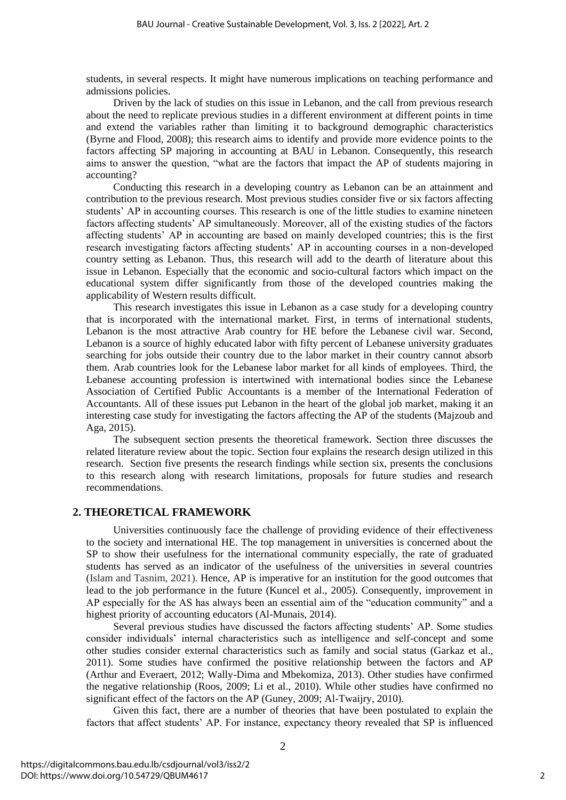students, in several respects. It might have numerous implications on teaching performance and admissions policies.

Driven by the lack of studies on this issue in Lebanon, and the call from previous research about the need to replicate previous studies in a different environment at different points in time and extend the variables rather than limiting it to background demographic characteristics (Byrne and Flood, 2008); this research aims to identify and provide more evidence points to the factors affecting SP majoring in accounting at BAU in Lebanon. Consequently, this research aims to answer the question, "what are the factors that impact the AP of students majoring in accounting?

Conducting this research in a developing country as Lebanon can be an attainment and contribution to the previous research. Most previous studies consider five or six factors affecting students' AP in accounting courses. This research is one of the little studies to examine nineteen factors affecting students' AP simultaneously. Moreover, all of the existing studies of the factors affecting students' AP in accounting are based on mainly developed countries; this is the first research investigating factors affecting students' AP in accounting courses in a non-developed country setting as Lebanon. Thus, this research will add to the dearth of literature about this issue in Lebanon. Especially that the economic and socio-cultural factors which impact on the educational system differ significantly from those of the developed countries making the applicability of Western results difficult.

This research investigates this issue in Lebanon as a case study for a developing country that is incorporated with the international market. First, in terms of international students, Lebanon is the most attractive Arab country for HE before the Lebanese civil war. Second, Lebanon is a source of highly educated labor with fifty percent of Lebanese university graduates searching for jobs outside their country due to the labor market in their country cannot absorb them. Arab countries look for the Lebanese labor market for all kinds of employees. Third, the Lebanese accounting profession is intertwined with international bodies since the Lebanese Association of Certified Public Accountants is a member of the International Federation of Accountants. All of these issues put Lebanon in the heart of the global job market, making it an interesting case study for investigating the factors affecting the AP of the students (Majzoub and Aga, 2015).

The subsequent section presents the theoretical framework. Section three discusses the related literature review about the topic. Section four explains the research design utilized in this research. Section five presents the research findings while section six, presents the conclusions to this research along with research limitations, proposals for future studies and research recommendations.

#### **2. THEORETICAL FRAMEWORK**

Universities continuously face the challenge of providing evidence of their effectiveness to the society and international HE. The top management in universities is concerned about the SP to show their usefulness for the international community especially, the rate of graduated students has served as an indicator of the usefulness of the universities in several countries (Islam and Tasnim, 2021). Hence, AP is imperative for an institution for the good outcomes that lead to the job performance in the future (Kuncel et al., 2005). Consequently, improvement in AP especially for the AS has always been an essential aim of the "education community" and a highest priority of accounting educators (Al-Munais, 2014).

Several previous studies have discussed the factors affecting students' AP. Some studies consider individuals' internal characteristics such as intelligence and self-concept and some other studies consider external characteristics such as family and social status (Garkaz et al., 2011). Some studies have confirmed the positive relationship between the factors and AP (Arthur and Everaert, 2012; Wally-Dima and Mbekomiza, 2013). Other studies have confirmed the negative relationship (Roos, 2009; Li et al., 2010). While other studies have confirmed no significant effect of the factors on the AP (Guney, 2009; Al-Twaijry, 2010).

Given this fact, there are a number of theories that have been postulated to explain the factors that affect students' AP. For instance, expectancy theory revealed that SP is influenced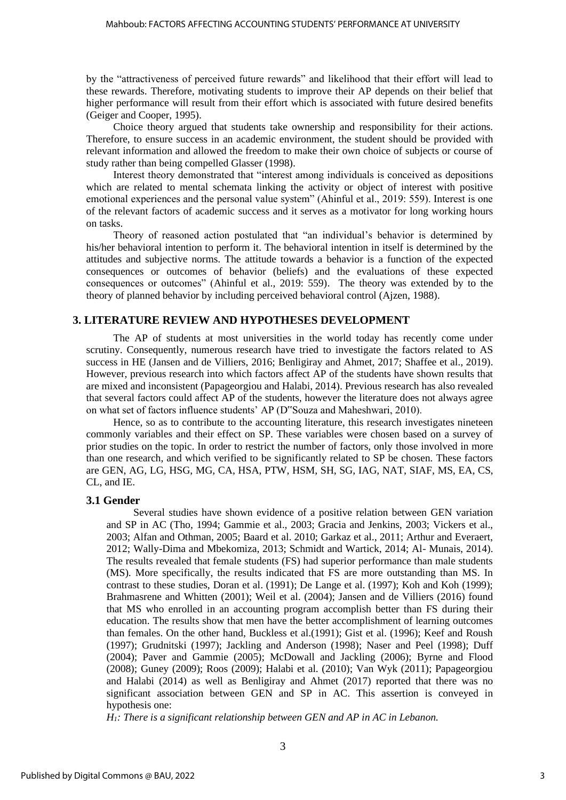by the "attractiveness of perceived future rewards" and likelihood that their effort will lead to these rewards. Therefore, motivating students to improve their AP depends on their belief that higher performance will result from their effort which is associated with future desired benefits (Geiger and Cooper, 1995).

Choice theory argued that students take ownership and responsibility for their actions. Therefore, to ensure success in an academic environment, the student should be provided with relevant information and allowed the freedom to make their own choice of subjects or course of study rather than being compelled Glasser (1998).

Interest theory demonstrated that "interest among individuals is conceived as depositions which are related to mental schemata linking the activity or object of interest with positive emotional experiences and the personal value system" (Ahinful et al., 2019: 559). Interest is one of the relevant factors of academic success and it serves as a motivator for long working hours on tasks.

Theory of reasoned action postulated that "an individual's behavior is determined by his/her behavioral intention to perform it. The behavioral intention in itself is determined by the attitudes and subjective norms. The attitude towards a behavior is a function of the expected consequences or outcomes of behavior (beliefs) and the evaluations of these expected consequences or outcomes" (Ahinful et al., 2019: 559). The theory was extended by to the theory of planned behavior by including perceived behavioral control (Ajzen, 1988).

#### **3. LITERATURE REVIEW AND HYPOTHESES DEVELOPMENT**

The AP of students at most universities in the world today has recently come under scrutiny. Consequently, numerous research have tried to investigate the factors related to AS success in HE (Jansen and de Villiers, 2016; Benligiray and Ahmet, 2017; Shaffee et al., 2019). However, previous research into which factors affect AP of the students have shown results that are mixed and inconsistent (Papageorgiou and Halabi, 2014). Previous research has also revealed that several factors could affect AP of the students, however the literature does not always agree on what set of factors influence students' AP (D"Souza and Maheshwari, 2010).

Hence, so as to contribute to the accounting literature, this research investigates nineteen commonly variables and their effect on SP. These variables were chosen based on a survey of prior studies on the topic. In order to restrict the number of factors, only those involved in more than one research, and which verified to be significantly related to SP be chosen. These factors are GEN, AG, LG, HSG, MG, CA, HSA, PTW, HSM, SH, SG, IAG, NAT, SIAF, MS, EA, CS, CL, and IE.

#### **3.1 Gender**

Several studies have shown evidence of a positive relation between GEN variation and SP in AC (Tho, 1994; Gammie et al., 2003; Gracia and Jenkins, 2003; Vickers et al., 2003; Alfan and Othman, 2005; Baard et al. 2010; Garkaz et al., 2011; Arthur and Everaert, 2012; Wally-Dima and Mbekomiza, 2013; Schmidt and Wartick, 2014; Al- Munais, 2014). The results revealed that female students (FS) had superior performance than male students (MS). More specifically, the results indicated that FS are more outstanding than MS. In contrast to these studies, Doran et al. (1991); De Lange et al. (1997); Koh and Koh (1999); Brahmasrene and Whitten (2001); Weil et al. (2004); Jansen and de Villiers (2016) found that MS who enrolled in an accounting program accomplish better than FS during their education. The results show that men have the better accomplishment of learning outcomes than females. On the other hand, Buckless et al.(1991); Gist et al. (1996); Keef and Roush (1997); Grudnitski (1997); Jackling and Anderson (1998); Naser and Peel (1998); Duff (2004); Paver and Gammie (2005); McDowall and Jackling (2006); Byrne and Flood (2008); Guney (2009); Roos (2009); Halabi et al. (2010); Van Wyk (2011); Papageorgiou and Halabi (2014) as well as Benligiray and Ahmet (2017) reported that there was no significant association between GEN and SP in AC. This assertion is conveyed in hypothesis one:

*H1: There is a significant relationship between GEN and AP in AC in Lebanon.*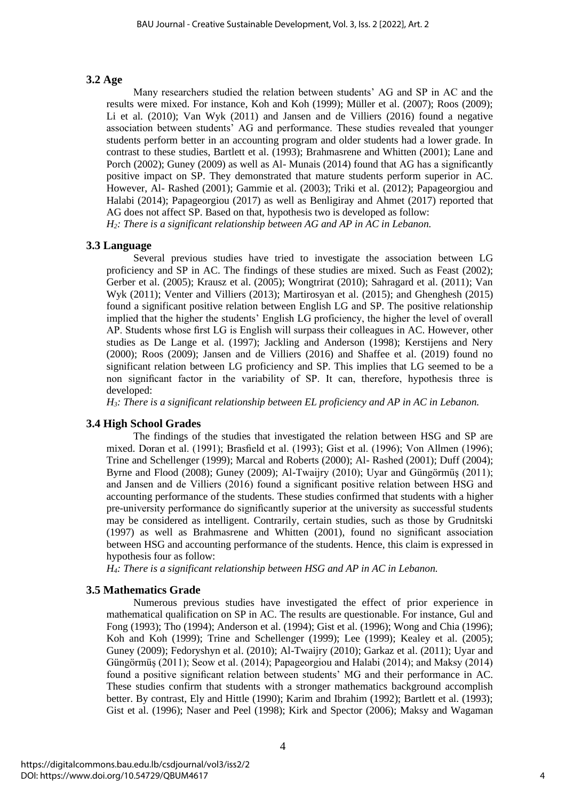## **3.2 Age**

Many researchers studied the relation between students' AG and SP in AC and the results were mixed. For instance, Koh and Koh (1999); Müller et al. (2007); Roos (2009); Li et al. (2010); Van Wyk (2011) and Jansen and de Villiers (2016) found a negative association between students' AG and performance. These studies revealed that younger students perform better in an accounting program and older students had a lower grade. In contrast to these studies, Bartlett et al. (1993); Brahmasrene and Whitten (2001); Lane and Porch (2002); Guney (2009) as well as Al- Munais (2014) found that AG has a significantly positive impact on SP. They demonstrated that mature students perform superior in AC. However, Al- Rashed (2001); Gammie et al. (2003); Triki et al. (2012); Papageorgiou and Halabi (2014); Papageorgiou (2017) as well as Benligiray and Ahmet (2017) reported that AG does not affect SP. Based on that, hypothesis two is developed as follow: *H2: There is a significant relationship between AG and AP in AC in Lebanon.*

#### **3.3 Language**

Several previous studies have tried to investigate the association between LG proficiency and SP in AC. The findings of these studies are mixed. Such as Feast (2002); Gerber et al. (2005); Krausz et al. (2005); Wongtrirat (2010); Sahragard et al. (2011); Van Wyk (2011); Venter and Villiers (2013); Martirosyan et al. (2015); and Ghenghesh (2015) found a significant positive relation between English LG and SP. The positive relationship implied that the higher the students' English LG proficiency, the higher the level of overall AP. Students whose first LG is English will surpass their colleagues in AC. However, other studies as De Lange et al. (1997); Jackling and Anderson (1998); Kerstijens and Nery (2000); Roos (2009); Jansen and de Villiers (2016) and Shaffee et al. (2019) found no significant relation between LG proficiency and SP. This implies that LG seemed to be a non significant factor in the variability of SP. It can, therefore, hypothesis three is developed:

*H3: There is a significant relationship between EL proficiency and AP in AC in Lebanon.*

#### **3.4 High School Grades**

The findings of the studies that investigated the relation between HSG and SP are mixed. Doran et al. (1991); Brasfield et al. (1993); Gist et al. (1996); Von Allmen (1996); Trine and Schellenger (1999); Marcal and Roberts (2000); Al- Rashed (2001); Duff (2004); Byrne and Flood (2008); Guney (2009); Al-Twaijry (2010); Uyar and Güngörmüş (2011); and Jansen and de Villiers (2016) found a significant positive relation between HSG and accounting performance of the students. These studies confirmed that students with a higher pre-university performance do significantly superior at the university as successful students may be considered as intelligent. Contrarily, certain studies, such as those by Grudnitski (1997) as well as Brahmasrene and Whitten (2001), found no significant association between HSG and accounting performance of the students. Hence, this claim is expressed in hypothesis four as follow:

*H4: There is a significant relationship between HSG and AP in AC in Lebanon.* 

#### **3.5 Mathematics Grade**

Numerous previous studies have investigated the effect of prior experience in mathematical qualification on SP in AC. The results are questionable. For instance, Gul and Fong (1993); Tho (1994); Anderson et al. (1994); Gist et al. (1996); Wong and Chia (1996); Koh and Koh (1999); Trine and Schellenger (1999); Lee (1999); Kealey et al. (2005); Guney (2009); Fedoryshyn et al. (2010); Al-Twaijry (2010); Garkaz et al. (2011); Uyar and Güngörmüş (2011); Seow et al. (2014); Papageorgiou and Halabi (2014); and Maksy (2014) found a positive significant relation between students' MG and their performance in AC. These studies confirm that students with a stronger mathematics background accomplish better. By contrast, Ely and Hittle (1990); Karim and Ibrahim (1992); Bartlett et al. (1993); Gist et al. (1996); Naser and Peel (1998); Kirk and Spector (2006); Maksy and Wagaman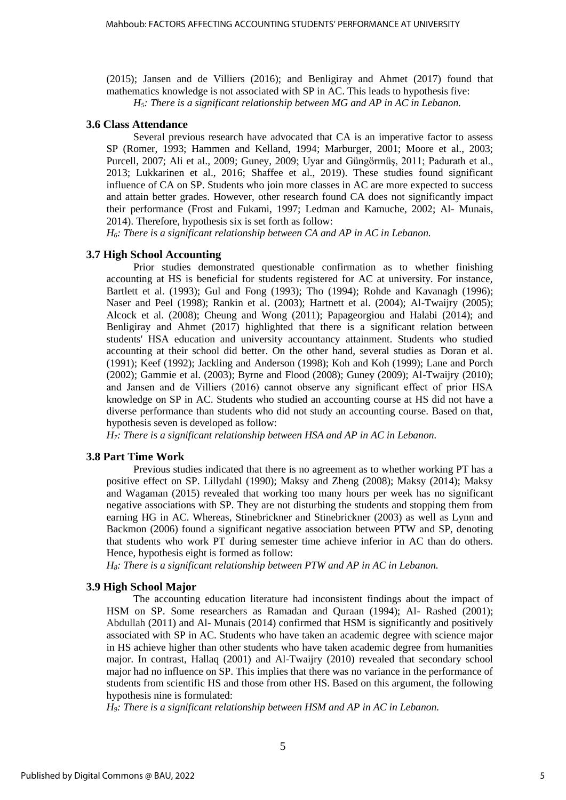(2015); Jansen and de Villiers (2016); and Benligiray and Ahmet (2017) found that mathematics knowledge is not associated with SP in AC. This leads to hypothesis five: *H5: There is a significant relationship between MG and AP in AC in Lebanon.* 

#### **3.6 Class Attendance**

Several previous research have advocated that CA is an imperative factor to assess SP (Romer, 1993; Hammen and Kelland, 1994; Marburger, 2001; Moore et al., 2003; Purcell, 2007; Ali et al., 2009; Guney, 2009; Uyar and Güngörmüş, 2011; Padurath et al., 2013; Lukkarinen et al., 2016; Shaffee et al., 2019). These studies found significant influence of CA on SP. Students who join more classes in AC are more expected to success and attain better grades. However, other research found CA does not significantly impact their performance (Frost and Fukami, 1997; Ledman and Kamuche, 2002; Al- Munais, 2014). Therefore, hypothesis six is set forth as follow:

*H6: There is a significant relationship between CA and AP in AC in Lebanon.*

#### **3.7 High School Accounting**

Prior studies demonstrated questionable confirmation as to whether finishing accounting at HS is beneficial for students registered for AC at university. For instance, Bartlett et al. (1993); Gul and Fong (1993); Tho (1994); Rohde and Kavanagh (1996); Naser and Peel (1998); Rankin et al. (2003); Hartnett et al. (2004); Al-Twaijry (2005); Alcock et al. (2008); Cheung and Wong (2011); Papageorgiou and Halabi (2014); and Benligiray and Ahmet (2017) highlighted that there is a significant relation between students' HSA education and university accountancy attainment. Students who studied accounting at their school did better. On the other hand, several studies as Doran et al. (1991); Keef (1992); Jackling and Anderson (1998); Koh and Koh (1999); Lane and Porch (2002); Gammie et al. (2003); Byrne and Flood (2008); Guney (2009); Al-Twaijry (2010); and Jansen and de Villiers (2016) cannot observe any significant effect of prior HSA knowledge on SP in AC. Students who studied an accounting course at HS did not have a diverse performance than students who did not study an accounting course. Based on that, hypothesis seven is developed as follow:

*H7: There is a significant relationship between HSA and AP in AC in Lebanon.*

#### **3.8 Part Time Work**

Previous studies indicated that there is no agreement as to whether working PT has a positive effect on SP. Lillydahl (1990); Maksy and Zheng (2008); Maksy (2014); Maksy and Wagaman (2015) revealed that working too many hours per week has no significant negative associations with SP. They are not disturbing the students and stopping them from earning HG in AC. Whereas, Stinebrickner and Stinebrickner (2003) as well as Lynn and Backmon (2006) found a significant negative association between PTW and SP, denoting that students who work PT during semester time achieve inferior in AC than do others. Hence, hypothesis eight is formed as follow:

*H8: There is a significant relationship between PTW and AP in AC in Lebanon.*

#### **3.9 High School Major**

The accounting education literature had inconsistent findings about the impact of HSM on SP. Some researchers as Ramadan and Quraan (1994); Al- Rashed (2001); Abdullah (2011) and Al- Munais (2014) confirmed that HSM is significantly and positively associated with SP in AC. Students who have taken an academic degree with science major in HS achieve higher than other students who have taken academic degree from humanities major. In contrast, Hallaq (2001) and Al-Twaijry (2010) revealed that secondary school major had no influence on SP. This implies that there was no variance in the performance of students from scientific HS and those from other HS. Based on this argument, the following hypothesis nine is formulated:

*H9: There is a significant relationship between HSM and AP in AC in Lebanon.*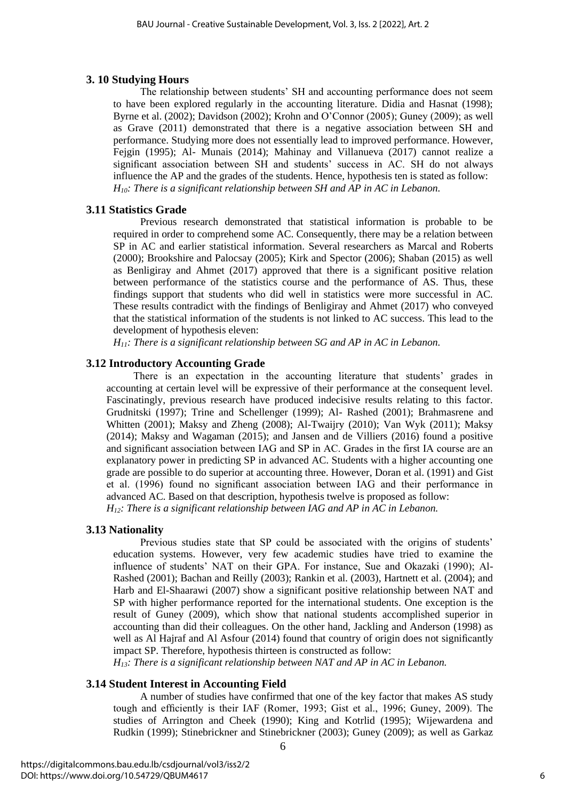#### **3. 10 Studying Hours**

The relationship between students' SH and accounting performance does not seem to have been explored regularly in the accounting literature. Didia and Hasnat (1998); Byrne et al. (2002); Davidson (2002); Krohn and O'Connor (2005); Guney (2009); as well as Grave (2011) demonstrated that there is a negative association between SH and performance. Studying more does not essentially lead to improved performance. However, Fejgin (1995); Al- Munais (2014); Mahinay and Villanueva (2017) cannot realize a significant association between SH and students' success in AC. SH do not always influence the AP and the grades of the students. Hence, hypothesis ten is stated as follow: *H10: There is a significant relationship between SH and AP in AC in Lebanon.*

#### **3.11 Statistics Grade**

Previous research demonstrated that statistical information is probable to be required in order to comprehend some AC. Consequently, there may be a relation between SP in AC and earlier statistical information. Several researchers as Marcal and Roberts (2000); Brookshire and Palocsay (2005); Kirk and Spector (2006); Shaban (2015) as well as Benligiray and Ahmet (2017) approved that there is a significant positive relation between performance of the statistics course and the performance of AS. Thus, these findings support that students who did well in statistics were more successful in AC. These results contradict with the findings of Benligiray and Ahmet (2017) who conveyed that the statistical information of the students is not linked to AC success. This lead to the development of hypothesis eleven:

*H11: There is a significant relationship between SG and AP in AC in Lebanon.*

## **3.12 Introductory Accounting Grade**

There is an expectation in the accounting literature that students' grades in accounting at certain level will be expressive of their performance at the consequent level. Fascinatingly, previous research have produced indecisive results relating to this factor. Grudnitski (1997); Trine and Schellenger (1999); Al- Rashed (2001); Brahmasrene and Whitten (2001); Maksy and Zheng (2008); Al-Twaijry (2010); Van Wyk (2011); Maksy (2014); Maksy and Wagaman (2015); and Jansen and de Villiers (2016) found a positive and significant association between IAG and SP in AC. Grades in the first IA course are an explanatory power in predicting SP in advanced AC. Students with a higher accounting one grade are possible to do superior at accounting three. However, Doran et al. (1991) and Gist et al. (1996) found no significant association between IAG and their performance in advanced AC. Based on that description, hypothesis twelve is proposed as follow: *H12: There is a significant relationship between IAG and AP in AC in Lebanon.* 

#### **3.13 Nationality**

Previous studies state that SP could be associated with the origins of students' education systems. However, very few academic studies have tried to examine the influence of students' NAT on their GPA. For instance, Sue and Okazaki (1990); Al-Rashed (2001); Bachan and Reilly (2003); Rankin et al. (2003), Hartnett et al. (2004); and Harb and El-Shaarawi (2007) show a significant positive relationship between NAT and SP with higher performance reported for the international students. One exception is the result of Guney (2009), which show that national students accomplished superior in accounting than did their colleagues. On the other hand, Jackling and Anderson (1998) as well as Al Hajraf and Al Asfour (2014) found that country of origin does not significantly impact SP. Therefore, hypothesis thirteen is constructed as follow:

*H13: There is a significant relationship between NAT and AP in AC in Lebanon.*

#### **3.14 Student Interest in Accounting Field**

A number of studies have confirmed that one of the key factor that makes AS study tough and efficiently is their IAF (Romer, 1993; Gist et al., 1996; Guney, 2009). The studies of Arrington and Cheek (1990); King and Kotrlid (1995); Wijewardena and Rudkin (1999); Stinebrickner and Stinebrickner (2003); Guney (2009); as well as Garkaz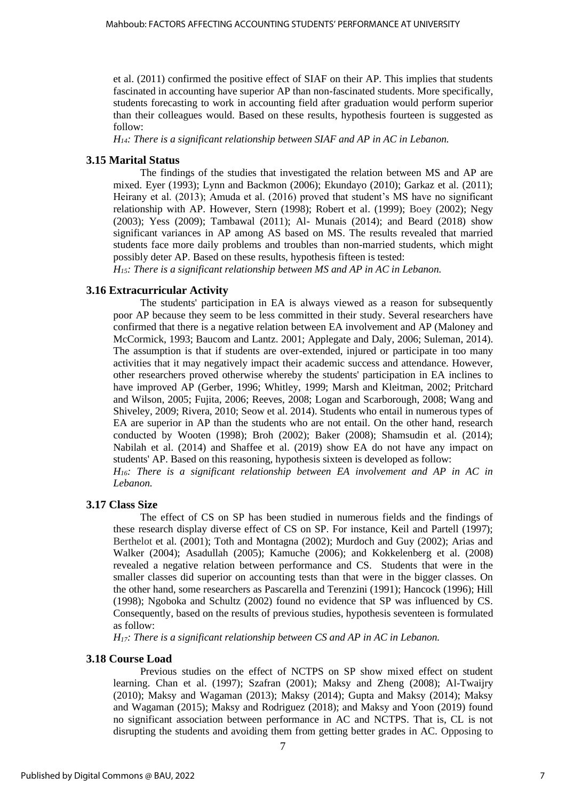et al. (2011) confirmed the positive effect of SIAF on their AP. This implies that students fascinated in accounting have superior AP than non-fascinated students. More specifically, students forecasting to work in accounting field after graduation would perform superior than their colleagues would. Based on these results, hypothesis fourteen is suggested as follow:

*H14: There is a significant relationship between SIAF and AP in AC in Lebanon.*

#### **3.15 Marital Status**

The findings of the studies that investigated the relation between MS and AP are mixed. Eyer (1993); Lynn and Backmon (2006); Ekundayo (2010); Garkaz et al. (2011); Heirany et al. (2013); Amuda et al. (2016) proved that student's MS have no significant relationship with AP. However, Stern (1998); Robert et al. (1999); Boey (2002); Negy (2003); Yess (2009); Tambawal (2011); Al- Munais (2014); and Beard (2018) show significant variances in AP among AS based on MS. The results revealed that married students face more daily problems and troubles than non-married students, which might possibly deter AP. Based on these results, hypothesis fifteen is tested:

*H15: There is a significant relationship between MS and AP in AC in Lebanon.*

#### **3.16 Extracurricular Activity**

The students' participation in EA is always viewed as a reason for subsequently poor AP because they seem to be less committed in their study. Several researchers have confirmed that there is a negative relation between EA involvement and AP (Maloney and McCormick, 1993; Baucom and Lantz. 2001; Applegate and Daly, 2006; Suleman, 2014). The assumption is that if students are over-extended, injured or participate in too many activities that it may negatively impact their academic success and attendance. However, other researchers proved otherwise whereby the students' participation in EA inclines to have improved AP (Gerber, 1996; Whitley, 1999; Marsh and Kleitman, 2002; Pritchard and Wilson, 2005; Fujita, 2006; Reeves, 2008; Logan and Scarborough, 2008; Wang and Shiveley, 2009; Rivera, 2010; Seow et al. 2014). Students who entail in numerous types of EA are superior in AP than the students who are not entail. On the other hand, research conducted by Wooten (1998); Broh (2002); Baker (2008); Shamsudin et al. (2014); Nabilah et al. (2014) and Shaffee et al. (2019) show EA do not have any impact on students' AP. Based on this reasoning, hypothesis sixteen is developed as follow:

*H16: There is a significant relationship between EA involvement and AP in AC in Lebanon.*

#### **3.17 Class Size**

The effect of CS on SP has been studied in numerous fields and the findings of these research display diverse effect of CS on SP. For instance, Keil and Partell (1997); Berthelot et al. (2001); Toth and Montagna (2002); Murdoch and Guy (2002); Arias and Walker (2004); Asadullah (2005); Kamuche (2006); and Kokkelenberg et al. (2008) revealed a negative relation between performance and CS. Students that were in the smaller classes did superior on accounting tests than that were in the bigger classes. On the other hand, some researchers as Pascarella and Terenzini (1991); Hancock (1996); Hill (1998); Ngoboka and Schultz (2002) found no evidence that SP was influenced by CS. Consequently, based on the results of previous studies, hypothesis seventeen is formulated as follow:

*H17: There is a significant relationship between CS and AP in AC in Lebanon.* 

#### **3.18 Course Load**

Previous studies on the effect of NCTPS on SP show mixed effect on student learning. Chan et al. (1997); Szafran (2001); Maksy and Zheng (2008); Al-Twaijry (2010); Maksy and Wagaman (2013); Maksy (2014); Gupta and Maksy (2014); Maksy and Wagaman (2015); Maksy and Rodriguez (2018); and Maksy and Yoon (2019) found no significant association between performance in AC and NCTPS. That is, CL is not disrupting the students and avoiding them from getting better grades in AC. Opposing to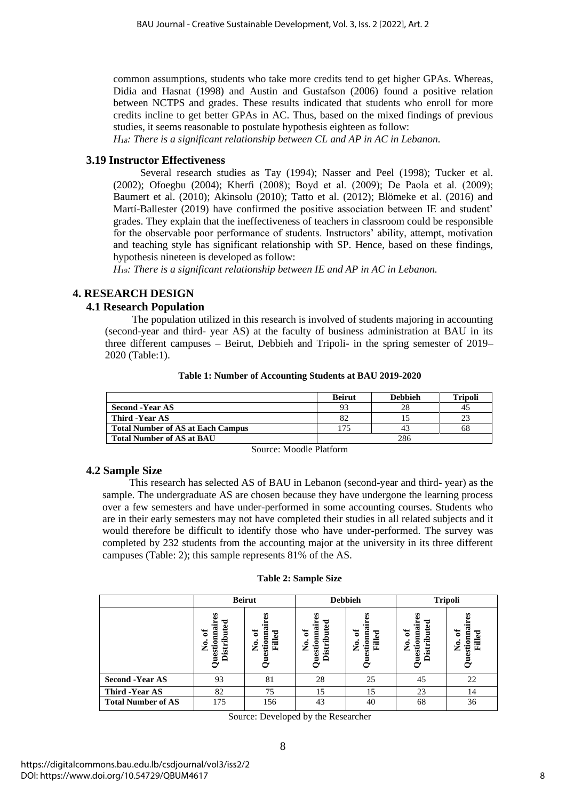common assumptions, students who take more credits tend to get higher GPAs. Whereas, Didia and Hasnat (1998) and Austin and Gustafson (2006) found a positive relation between NCTPS and grades. These results indicated that students who enroll for more credits incline to get better GPAs in AC. Thus, based on the mixed findings of previous studies, it seems reasonable to postulate hypothesis eighteen as follow:

*H18: There is a significant relationship between CL and AP in AC in Lebanon.*

## **3.19 Instructor Effectiveness**

Several research studies as Tay (1994); Nasser and Peel (1998); Tucker et al. (2002); Ofoegbu (2004); Kherfi (2008); Boyd et al. (2009); De Paola et al. (2009); Baumert et al. (2010); Akinsolu (2010); Tatto et al. (2012); Blömeke et al. (2016) and Martí-Ballester (2019) have confirmed the positive association between IE and student' grades. They explain that the ineffectiveness of teachers in classroom could be responsible for the observable poor performance of students. Instructors' ability, attempt, motivation and teaching style has significant relationship with SP. Hence, based on these findings, hypothesis nineteen is developed as follow:

*H19: There is a significant relationship between IE and AP in AC in Lebanon.*

## **4. RESEARCH DESIGN**

## **4.1 Research Population**

The population utilized in this research is involved of students majoring in accounting (second-year and third- year AS) at the faculty of business administration at BAU in its three different campuses – Beirut, Debbieh and Tripoli- in the spring semester of 2019– 2020 (Table:1).

|                                          | <b>Beirut</b> | <b>Debbieh</b> | <b>Tripoli</b> |
|------------------------------------------|---------------|----------------|----------------|
| <b>Second -Year AS</b>                   | 93            | 28             | 43             |
| Third -Year AS                           | 82            |                |                |
| <b>Total Number of AS at Each Campus</b> | 175           | 43             | 68             |
| <b>Total Number of AS at BAU</b>         |               | 286            |                |

**Table 1: Number of Accounting Students at BAU 2019-2020**

Source: Moodle Platform

## **4.2 Sample Size**

This research has selected AS of BAU in Lebanon (second-year and third- year) as the sample. The undergraduate AS are chosen because they have undergone the learning process over a few semesters and have under-performed in some accounting courses. Students who are in their early semesters may not have completed their studies in all related subjects and it would therefore be difficult to identify those who have under-performed. The survey was completed by 232 students from the accounting major at the university in its three different campuses (Table: 2); this sample represents 81% of the AS.

#### **Table 2: Sample Size**

|                           |                                                 | <b>Beirut</b>                      |                                               | <b>Debbieh</b>                     | <b>Tripoli</b>                                                |                              |  |  |
|---------------------------|-------------------------------------------------|------------------------------------|-----------------------------------------------|------------------------------------|---------------------------------------------------------------|------------------------------|--|--|
|                           | Distributed<br>Questionnain<br>৳<br>$\tilde{z}$ | stionna<br>ัธ<br>Filled<br>ż<br>a. | <b>Questionnair</b><br>Distributed<br>ัธ<br>ż | ัธ<br>stionma<br>Filled<br>ż<br>రె | B<br>uted<br>Questionnair<br>ัธ<br>€<br>$\tilde{z}$<br>Distri | ัธ<br>stionna<br>Filled<br>ż |  |  |
| <b>Second -Year AS</b>    | 93                                              | 81                                 | 28                                            | 25                                 | 45                                                            | 22                           |  |  |
| Third -Year AS            | 82                                              | 75                                 | 15                                            | 15                                 | 23                                                            | 14                           |  |  |
| <b>Total Number of AS</b> | 175                                             | 156                                | 43                                            | 40                                 | 68                                                            | 36                           |  |  |

Source: Developed by the Researcher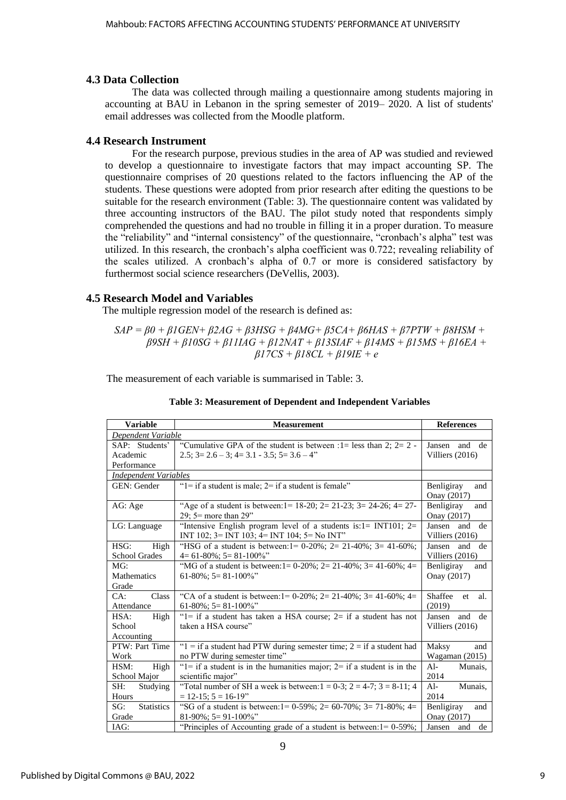## **4.3 Data Collection**

The data was collected through mailing a questionnaire among students majoring in accounting at BAU in Lebanon in the spring semester of 2019– 2020. A list of students' email addresses was collected from the Moodle platform.

## **4.4 Research Instrument**

For the research purpose, previous studies in the area of AP was studied and reviewed to develop a questionnaire to investigate factors that may impact accounting SP. The questionnaire comprises of 20 questions related to the factors influencing the AP of the students. These questions were adopted from prior research after editing the questions to be suitable for the research environment (Table: 3). The questionnaire content was validated by three accounting instructors of the BAU. The pilot study noted that respondents simply comprehended the questions and had no trouble in filling it in a proper duration. To measure the "reliability" and "internal consistency" of the questionnaire, "cronbach's alpha" test was utilized. In this research, the cronbach's alpha coefficient was 0.722; revealing reliability of the scales utilized. A cronbach's alpha of 0.7 or more is considered satisfactory by furthermost social science researchers (DeVellis, 2003).

## **4.5 Research Model and Variables**

The multiple regression model of the research is defined as:

*SAP = β0 + β1GEN+ β2AG + β3HSG + β4MG+ β5CA+ β6HAS + β7PTW + β8HSM + β9SH + β10SG + β11IAG + β12NAT + β13SIAF + β14MS + β15MS + β16EA + β17CS + β18CL + β19IE + e*

The measurement of each variable is summarised in Table: 3.

| <b>Variable</b>                           | <b>References</b>                                                                                                                |                                        |  |  |  |  |  |  |  |  |
|-------------------------------------------|----------------------------------------------------------------------------------------------------------------------------------|----------------------------------------|--|--|--|--|--|--|--|--|
|                                           | <b>Measurement</b><br>Dependent Variable                                                                                         |                                        |  |  |  |  |  |  |  |  |
| SAP: Students'<br>Academic<br>Performance | "Cumulative GPA of the student is between : $1 =$ less than 2; $2 = 2$ -<br>$2.5$ ; $3=2.6-3$ ; $4=3.1-3.5$ ; $5=3.6-4$ "        | and de<br>Jansen<br>Villiers $(2016)$  |  |  |  |  |  |  |  |  |
| <b>Independent Variables</b>              |                                                                                                                                  |                                        |  |  |  |  |  |  |  |  |
| GEN: Gender                               | " $l =$ if a student is male; $2 =$ if a student is female"                                                                      | Benligiray<br>and<br>Onay (2017)       |  |  |  |  |  |  |  |  |
| AG: Age                                   | "Age of a student is between: $1 = 18-20$ ; $2 = 21-23$ ; $3 = 24-26$ ; $4 = 27-26$<br>29; $5 =$ more than 29"                   | Benligiray<br>and<br>Onay (2017)       |  |  |  |  |  |  |  |  |
| LG: Language                              | "Intensive English program level of a students is: $1 = INT101$ ; $2 =$<br>INT 102; $3 = INT$ 103; $4 = INT$ 104; $5 = No INT$ " | Jansen<br>and<br>de<br>Villiers (2016) |  |  |  |  |  |  |  |  |
| HSG:<br>High<br><b>School Grades</b>      | "HSG of a student is between: $1 = 0-20\%$ ; $2 = 21-40\%$ ; $3 = 41-60\%$ ;<br>$4=61-80\%$ ; $5=81-100\%$ "                     | Jansen<br>and<br>de<br>Villiers (2016) |  |  |  |  |  |  |  |  |
| MG:<br>Mathematics<br>Grade               | "MG of a student is between: $1 = 0.20\%$ ; $2 = 21.40\%$ ; $3 = 41.60\%$ ; $4 = 1.60\%$<br>$61-80\%$ ; $5=81-100\%$ "           | Benligiray<br>and<br>Onay (2017)       |  |  |  |  |  |  |  |  |
| Class<br>CA:<br>Attendance                | "CA of a student is between: $1 = 0-20\%$ ; $2 = 21-40\%$ ; $3 = 41-60\%$ ; $4 = 1$<br>$61-80\%$ ; 5= 81-100%"                   | Shaffee<br>al.<br>et<br>(2019)         |  |  |  |  |  |  |  |  |
| HSA:<br>High<br>School<br>Accounting      | " $l$ = if a student has taken a HSA course; $2=$ if a student has not<br>taken a HSA course"                                    | Jansen<br>and de<br>Villiers $(2016)$  |  |  |  |  |  |  |  |  |
| PTW: Part Time<br>Work                    | " $1 =$ if a student had PTW during semester time; 2 = if a student had<br>no PTW during semester time"                          | Maksy<br>and<br>Wagaman $(2015)$       |  |  |  |  |  |  |  |  |
| HSM:<br>High<br>School Major              | " $l =$ if a student is in the humanities major; $2 =$ if a student is in the<br>scientific major"                               | Al-<br>Munais,<br>2014                 |  |  |  |  |  |  |  |  |
| SH:<br>Studying<br>Hours                  | "Total number of SH a week is between: $1 = 0-3$ ; $2 = 4-7$ ; $3 = 8-11$ ; 4<br>$= 12 - 15$ ; $5 = 16 - 19$                     | $Al-$<br>Munais,<br>2014               |  |  |  |  |  |  |  |  |
| SG:<br><b>Statistics</b><br>Grade         | "SG of a student is between: $1 = 0.59\%$ ; $2 = 60.70\%$ ; $3 = 71.80\%$ ; $4 = 1.50\%$<br>$81-90\%$ ; 5= 91-100%"              | Benligiray<br>and<br>Onay (2017)       |  |  |  |  |  |  |  |  |
| IAG:                                      | "Principles of Accounting grade of a student is between: $1 = 0.59\%$ ;                                                          | de<br>Jansen<br>and                    |  |  |  |  |  |  |  |  |

|  | Table 3: Measurement of Dependent and Independent Variables |
|--|-------------------------------------------------------------|
|--|-------------------------------------------------------------|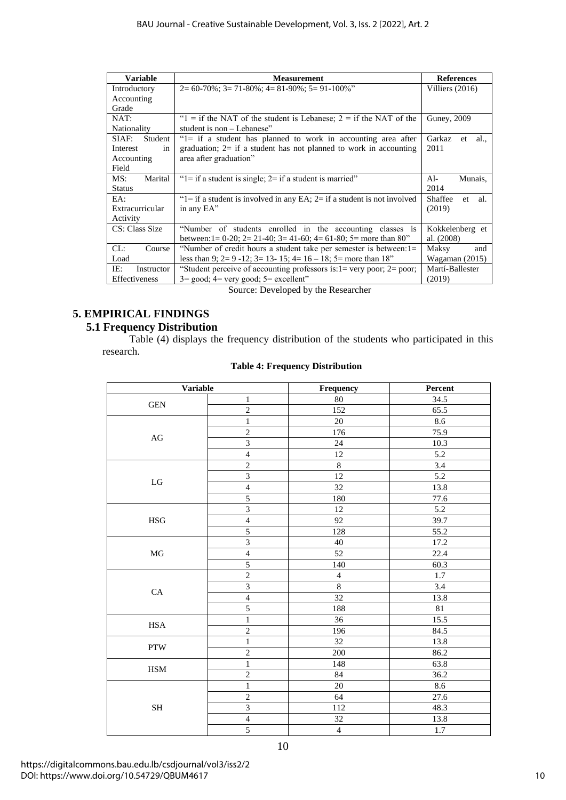| <b>Variable</b>   | <b>Measurement</b>                                                                  | <b>References</b>     |  |  |
|-------------------|-------------------------------------------------------------------------------------|-----------------------|--|--|
| Introductory      | $2=60-70\%$ ; $3=71-80\%$ ; $4=81-90\%$ ; $5=91-100\%$ "                            | Villiers $(2016)$     |  |  |
| Accounting        |                                                                                     |                       |  |  |
| Grade             |                                                                                     |                       |  |  |
| NAT:              | " $1 =$ if the NAT of the student is Lebanese; $2 =$ if the NAT of the              | Guney, 2009           |  |  |
| Nationality       | student is non – Lebanese"                                                          |                       |  |  |
| SIAF:<br>Student  | "1= if a student has planned to work in accounting area after                       | Garkaz<br>et<br>al.   |  |  |
| Interest<br>in    | graduation; $2=$ if a student has not planned to work in accounting                 | 2011                  |  |  |
| Accounting        | area after graduation"                                                              |                       |  |  |
| Field             |                                                                                     |                       |  |  |
| MS:<br>Marital    | " $1 =$ if a student is single; $2 =$ if a student is married"                      | $Al-$<br>Munais,      |  |  |
| <b>Status</b>     |                                                                                     | 2014                  |  |  |
| EA:               | " $1 =$ if a student is involved in any EA; $2 =$ if a student is not involved      | Shaffee<br>al.<br>et. |  |  |
| Extracurricular   | in any EA"                                                                          | (2019)                |  |  |
| Activity          |                                                                                     |                       |  |  |
| CS: Class Size    | "Number of students enrolled in the accounting classes is                           | Kokkelenberg et       |  |  |
|                   | between: $1 = 0-20$ ; $2 = 21-40$ ; $3 = 41-60$ ; $4 = 61-80$ ; $5 =$ more than 80" | al. $(2008)$          |  |  |
| CL:<br>Course     | "Number of credit hours a student take per semester is between: 1=                  | Maksy<br>and          |  |  |
| Load              | less than 9; $2= 9 - 12$ ; $3= 13 - 15$ ; $4= 16 - 18$ ; $5=$ more than 18"         | Wagaman $(2015)$      |  |  |
| IE:<br>Instructor | "Student perceive of accounting professors is: $l$ = very poor; $2$ = poor;         | Martí-Ballester       |  |  |
| Effectiveness     | $3 = \text{good}$ ; $4 = \text{very good}$ ; $5 = \text{excellent}$ "               | (2019)                |  |  |

Source: Developed by the Researcher

## **5. EMPIRICAL FINDINGS 5.1 Frequency Distribution**

Table (4) displays the frequency distribution of the students who participated in this research.

| <b>Variable</b>            |                         | Frequency      | Percent          |  |  |
|----------------------------|-------------------------|----------------|------------------|--|--|
| $\mathbf{1}$<br><b>GEN</b> |                         | 80             | 34.5             |  |  |
|                            | $\overline{2}$          | 152            | 65.5             |  |  |
|                            | $\,1$                   | $20\,$         | 8.6              |  |  |
| $\rm{AG}$                  | $\overline{2}$          | 176            | 75.9             |  |  |
|                            | $\overline{\mathbf{3}}$ | 24             | 10.3             |  |  |
|                            | $\sqrt{4}$              | 12             | $5.2\,$          |  |  |
|                            | $\overline{2}$          | $\overline{8}$ | 3.4              |  |  |
| $_{\rm LG}$                | $\overline{3}$          | 12             | 5.2              |  |  |
|                            | $\overline{4}$          | 32             | 13.8             |  |  |
|                            | 5                       | 180            | 77.6             |  |  |
|                            | $\overline{3}$          | 12             | $\overline{5.2}$ |  |  |
| <b>HSG</b>                 | $\sqrt{4}$              | 92             | 39.7             |  |  |
|                            | 5                       | 128            | 55.2             |  |  |
|                            | 3                       | 40             | 17.2             |  |  |
| $\rm MG$                   | $\overline{4}$          | 52             | 22.4             |  |  |
|                            | $\overline{5}$          | 140            | 60.3             |  |  |
|                            | $\overline{2}$          | $\overline{4}$ | 1.7              |  |  |
| ${\rm CA}$                 | $\overline{\mathbf{3}}$ | $\overline{8}$ | 3.4              |  |  |
|                            | $\overline{4}$          | 32             | 13.8             |  |  |
|                            | $\overline{5}$          | 188            | 81               |  |  |
| <b>HSA</b>                 | $\mathbf 1$             | 36             | 15.5             |  |  |
|                            | $\overline{2}$          | 196            | 84.5             |  |  |
| <b>PTW</b>                 | $\mathbf{1}$            | 32             | 13.8             |  |  |
|                            | $\overline{2}$          | 200            | 86.2             |  |  |
| $_{\mathrm{HSM}}$          | $\,1$                   | 148            | 63.8             |  |  |
|                            | $\overline{2}$          | 84             | 36.2             |  |  |
|                            | $\mathbf{1}$            | 20             | 8.6              |  |  |
|                            | $\overline{2}$          | 64             | 27.6             |  |  |
| $\operatorname{SH}$        | $\overline{3}$          | 112            | 48.3             |  |  |
|                            | $\overline{4}$          | 32             | 13.8             |  |  |
|                            | $\overline{5}$          | $\overline{4}$ | 1.7              |  |  |
|                            |                         | 10             |                  |  |  |

## **Table 4: Frequency Distribution**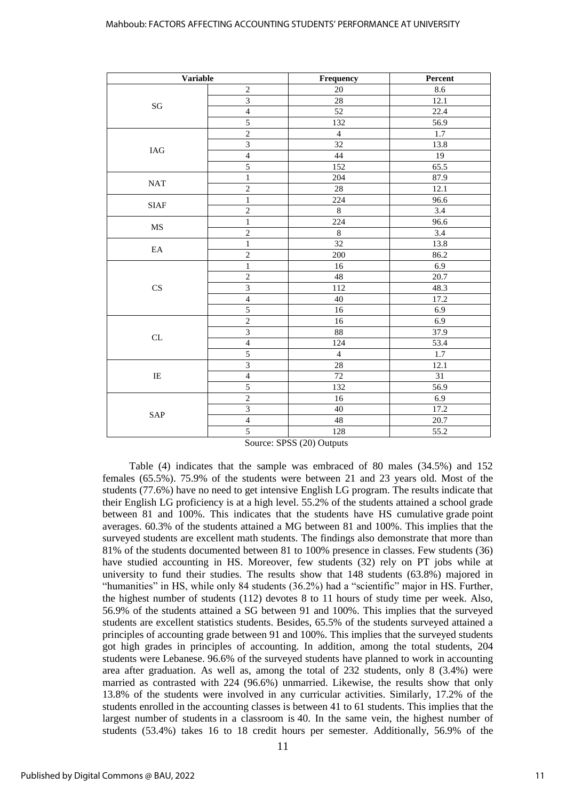| <b>Variable</b>        |                         | Frequency               | Percent |  |
|------------------------|-------------------------|-------------------------|---------|--|
|                        | $\sqrt{2}$              | $20\,$                  | 8.6     |  |
| $\mathbf{S}\mathbf{G}$ | $\overline{3}$          | 28                      | 12.1    |  |
|                        | $\overline{4}$          | 52                      | 22.4    |  |
|                        | $\overline{5}$          | 132                     | 56.9    |  |
|                        | $\sqrt{2}$              | $\overline{\mathbf{4}}$ | 1.7     |  |
| $\rm IAG$              | $\overline{3}$          | 32                      | 13.8    |  |
|                        | $\overline{4}$          | 44                      | 19      |  |
|                        | 5                       | 152                     | 65.5    |  |
| $\operatorname{NAT}$   | $\mathbf{1}$            | 204                     | 87.9    |  |
|                        | $\overline{2}$          | 28                      | 12.1    |  |
| <b>SIAF</b>            | $\mathbf{1}$            | 224                     | 96.6    |  |
|                        | $\sqrt{2}$              | $\,8\,$                 | 3.4     |  |
|                        | $\mathbf{1}$            | 224                     | 96.6    |  |
| MS                     | $\overline{2}$          | $\overline{8}$          | 3.4     |  |
| $\mathop{\text{EA}}$   | $\mathbf{1}$            | $\overline{32}$         | 13.8    |  |
|                        | $\sqrt{2}$              | 200                     | 86.2    |  |
|                        | $\mathbf{1}$            | 16                      | 6.9     |  |
|                        | $\overline{2}$          | 48                      | 20.7    |  |
| CS                     | $\overline{3}$          | 112                     | 48.3    |  |
|                        | $\overline{4}$          | $40\,$                  | 17.2    |  |
|                        | $\overline{5}$          | 16                      | 6.9     |  |
|                        | $\overline{2}$          | $16\,$                  | 6.9     |  |
| CL                     | $\overline{3}$          | 88                      | 37.9    |  |
|                        | $\overline{4}$          | 124                     | 53.4    |  |
|                        | 5                       | $\overline{4}$          | $1.7$   |  |
|                        | $\overline{\mathbf{3}}$ | 28                      | 12.1    |  |
| $\rm IE$               | $\overline{4}$          | 72                      | 31      |  |
|                        | 5                       | 132                     | 56.9    |  |
|                        | $\overline{2}$          | 16                      | 6.9     |  |
| SAP                    | $\overline{\mathbf{3}}$ | $40\,$                  | 17.2    |  |
|                        | $\overline{4}$          | 48                      | 20.7    |  |
|                        | 5                       | 128                     | 55.2    |  |

Source: SPSS (20) Outputs

Table (4) indicates that the sample was embraced of 80 males (34.5%) and 152 females (65.5%). 75.9% of the students were between 21 and 23 years old. Most of the students (77.6%) have no need to get intensive English LG program. The results indicate that their English LG proficiency is at a high level. 55.2% of the students attained a school grade between 81 and 100%. This indicates that the students have HS cumulative grade point averages. 60.3% of the students attained a MG between 81 and 100%. This implies that the surveyed students are excellent math students. The findings also demonstrate that more than 81% of the students documented between 81 to 100% presence in classes. Few students (36) have studied accounting in HS. Moreover, few students (32) rely on PT jobs while at university to fund their studies. The results show that 148 students (63.8%) majored in "humanities" in HS, while only 84 students (36.2%) had a "scientific" major in HS. Further, the highest number of students (112) devotes 8 to 11 hours of study time per week. Also, 56.9% of the students attained a SG between 91 and 100%. This implies that the surveyed students are excellent statistics students. Besides, 65.5% of the students surveyed attained a principles of accounting grade between 91 and 100%. This implies that the surveyed students got high grades in principles of accounting. In addition, among the total students, 204 students were Lebanese. 96.6% of the surveyed students have planned to work in accounting area after graduation. As well as, among the total of 232 students, only 8 (3.4%) were married as contrasted with 224 (96.6%) unmarried. Likewise, the results show that only 13.8% of the students were involved in any curricular activities. Similarly, 17.2% of the students enrolled in the accounting classes is between 41 to 61 students. This implies that the largest number of students in a classroom is 40. In the same vein, the highest number of students (53.4%) takes 16 to 18 credit hours per semester. Additionally, 56.9% of the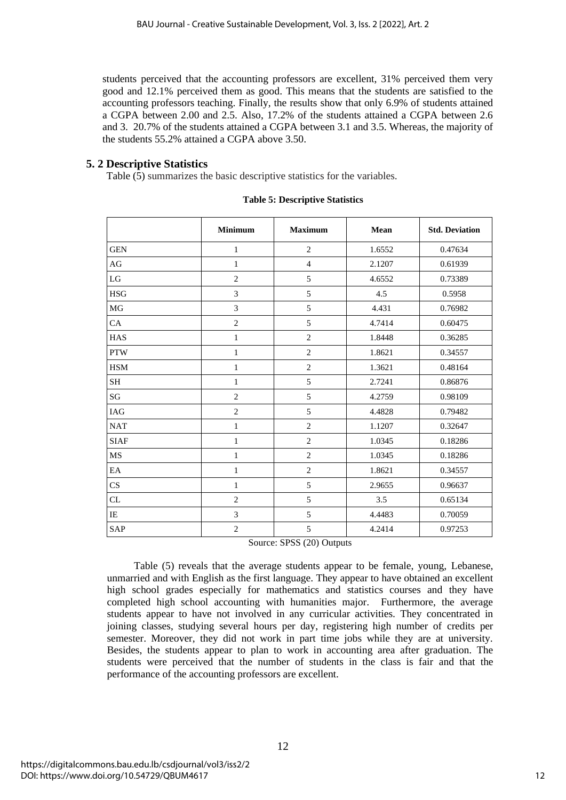students perceived that the accounting professors are excellent, 31% perceived them very good and 12.1% perceived them as good. This means that the students are satisfied to the accounting professors teaching. Finally, the results show that only 6.9% of students attained a CGPA between 2.00 and 2.5. Also, 17.2% of the students attained a CGPA between 2.6 and 3. 20.7% of the students attained a CGPA between 3.1 and 3.5. Whereas, the majority of the students 55.2% attained a CGPA above 3.50.

## **5. 2 Descriptive Statistics**

Table (5) summarizes the basic descriptive statistics for the variables.

|             | <b>Minimum</b> | <b>Maximum</b> | Mean   | <b>Std. Deviation</b> |
|-------------|----------------|----------------|--------|-----------------------|
| <b>GEN</b>  | $\mathbf{1}$   | $\mathbf{2}$   | 1.6552 | 0.47634               |
| AG          | $\mathbf{1}$   | $\overline{4}$ | 2.1207 | 0.61939               |
| LG          | $\mathbf{2}$   | 5              | 4.6552 | 0.73389               |
| <b>HSG</b>  | 3              | 5              | 4.5    | 0.5958                |
| MG          | 3              | 5              | 4.431  | 0.76982               |
| CA          | $\overline{2}$ | 5              | 4.7414 | 0.60475               |
| <b>HAS</b>  | $\mathbf{1}$   | $\overline{2}$ | 1.8448 | 0.36285               |
| <b>PTW</b>  | $\mathbf{1}$   | $\overline{2}$ | 1.8621 | 0.34557               |
| <b>HSM</b>  | $\mathbf{1}$   | $\overline{2}$ | 1.3621 | 0.48164               |
| <b>SH</b>   | $\mathbf{1}$   | 5              | 2.7241 | 0.86876               |
| SG          | $\mathfrak{2}$ | 5              | 4.2759 | 0.98109               |
| IAG         | $\mathfrak{2}$ | 5              | 4.4828 | 0.79482               |
| <b>NAT</b>  | $\,1$          | $\overline{2}$ | 1.1207 | 0.32647               |
| <b>SIAF</b> | $\mathbf{1}$   | $\overline{2}$ | 1.0345 | 0.18286               |
| MS          | $\mathbf{1}$   | $\overline{2}$ | 1.0345 | 0.18286               |
| EA          | $\mathbf{1}$   | $\overline{2}$ | 1.8621 | 0.34557               |
| CS          | 1              | 5              | 2.9655 | 0.96637               |
| CL          | $\overline{2}$ | 5              | 3.5    | 0.65134               |
| IE          | 3              | 5              | 4.4483 | 0.70059               |
| <b>SAP</b>  | $\mathbf{2}$   | 5              | 4.2414 | 0.97253               |

#### **Table 5: Descriptive Statistics**

Source: SPSS (20) Outputs

Table (5) reveals that the average students appear to be female, young, Lebanese, unmarried and with English as the first language. They appear to have obtained an excellent high school grades especially for mathematics and statistics courses and they have completed high school accounting with humanities major. Furthermore, the average students appear to have not involved in any curricular activities. They concentrated in joining classes, studying several hours per day, registering high number of credits per semester. Moreover, they did not work in part time jobs while they are at university. Besides, the students appear to plan to work in accounting area after graduation. The students were perceived that the number of students in the class is fair and that the performance of the accounting professors are excellent.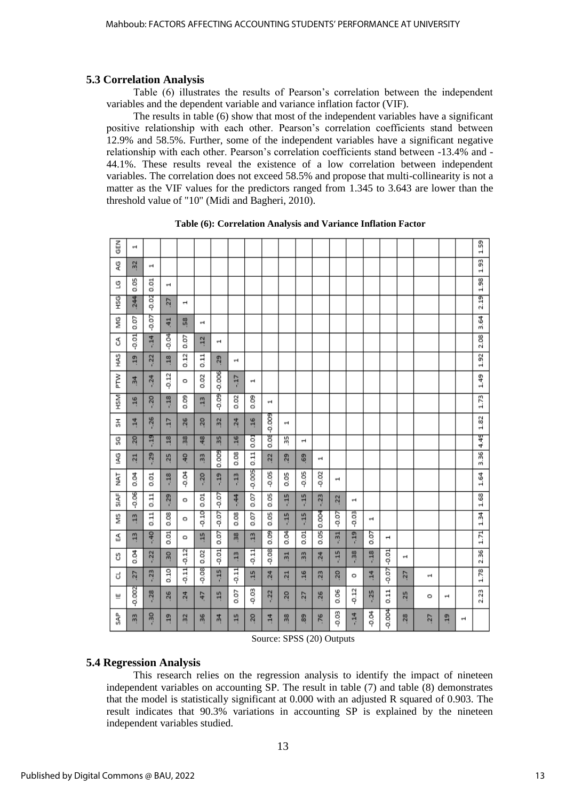## **5.3 Correlation Analysis**

Table (6) illustrates the results of Pearson's correlation between the independent variables and the dependent variable and variance inflation factor (VIF).

The results in table (6) show that most of the independent variables have a significant positive relationship with each other. Pearson's correlation coefficients stand between 12.9% and 58.5%. Further, some of the independent variables have a significant negative relationship with each other. Pearson's correlation coefficients stand between -13.4% and - 44.1%. These results reveal the existence of a low correlation between independent variables. The correlation does not exceed 58.5% and propose that multi-collinearity is not a matter as the VIF values for the predictors ranged from 1.345 to 3.643 are lower than the threshold value of "10" (Midi and Bagheri, 2010).

| 즚<br>0           | 4               |         |                 |                |                |                 |                |                          |                 |                |                          |                 |         |         |                |                       |               |    |                          |   | 1.59 |
|------------------|-----------------|---------|-----------------|----------------|----------------|-----------------|----------------|--------------------------|-----------------|----------------|--------------------------|-----------------|---------|---------|----------------|-----------------------|---------------|----|--------------------------|---|------|
| QG               | $\overline{32}$ | 4       |                 |                |                |                 |                |                          |                 |                |                          |                 |         |         |                |                       |               |    |                          |   | 1.93 |
| S                | 0.05            | 0.01    | ÷,              |                |                |                 |                |                          |                 |                |                          |                 |         |         |                |                       |               |    |                          |   | 1.98 |
| HSG              | 244             | $-0.02$ | 27              | 4              |                |                 |                |                          |                 |                |                          |                 |         |         |                |                       |               |    |                          |   | 2.19 |
| Š                | 0.07            | $-0.07$ | $\frac{41}{7}$  | SS.            | ÷.             |                 |                |                          |                 |                |                          |                 |         |         |                |                       |               |    |                          |   | 3.64 |
| F                | $-0.01$         | $-14$   | $\frac{4}{3}$   | 0.07           | 12             | $\rightarrow$   |                |                          |                 |                |                          |                 |         |         |                |                       |               |    |                          |   | 2.08 |
| <b>HAS</b>       | $\frac{19}{2}$  | $-22$   | $\overline{18}$ | 0.12           | 0.11           | 29              | 4              |                          |                 |                |                          |                 |         |         |                |                       |               |    |                          |   | 1.92 |
| řΣ               | Ψ,              | $-24$   | $-0.12$         | o              | 0.02           | -0.006          | -17            | $\overline{\phantom{a}}$ |                 |                |                          |                 |         |         |                |                       |               |    |                          |   | 1.49 |
| <b>NSH</b>       | .16             | $-20$   | $-18$           | 80.09          | $\frac{13}{2}$ | $-0.09$         | 0.02           | 0.09                     | ÷,              |                |                          |                 |         |         |                |                       |               |    |                          |   | 1.73 |
| 풊                | $\frac{14}{1}$  | $-26$   | $\overline{17}$ | .26            | 20             | $\overline{32}$ | .24            | .16                      | $-0.009$        | $\blacksquare$ |                          |                 |         |         |                |                       |               |    |                          |   | 1.82 |
| ပ္တ              | 20              | ą       | $\frac{18}{1}$  | 38             | 48             | 35              | $-16$          | 0.01                     | õ.              | X)             | $\overline{\phantom{0}}$ |                 |         |         |                |                       |               |    |                          |   | 4.45 |
| g                | $\overline{1}$  | $-29$   | 25              | $\frac{40}{5}$ | m              | 0.009           | 0.08           | 0.11                     | 22              | 29             | 69                       | ÷,              |         |         |                |                       |               |    |                          |   | 3.36 |
| ΣM               | 0.04            | 0.01    | $-18$           | $-0.04$        | $-20$          | er.             | ņ              | $-0.005$                 | $-0.05$         | 0.05           | $-0.05$                  | $-0.02$         | 4       |         |                |                       |               |    |                          |   | 1.64 |
| SIAF <sup></sup> | $-0.06$         | 0.11    | $-29$           | ۰              | 0.01           | 0.07            | $-44$          | 0.07                     | 0.05            | Ę              | H,                       | $-23$           | 22      | $\pm$   |                |                       |               |    |                          |   | 1.68 |
| š                | $\frac{13}{2}$  | 0.11    | 0.08            | ۰              | $-0.10$        | 0.07            | 0.08           | 0.07                     | 0.05            | H,             | $-15$                    | 0.004           | -0.07   | 0.03    | ÷,             |                       |               |    |                          |   | 1.34 |
| æ                | $\overline{a}$  | $-40$   | $\frac{1}{2}$   | o              | $\frac{15}{2}$ | 0.07            | 38             | $\overline{a}$           | 0.09            | $\frac{4}{5}$  | 0.01                     | 0.05            | $-31$   | $-19$   | 0.07           | $\mathbf{\mathbf{t}}$ |               |    |                          |   | 1.71 |
| G                | 8<br>이          | $-22$   | 30              | 0.12           | 0.02           | 0.01            | $\overline{a}$ | $-0.11$                  | 0.08            | $\frac{1}{2}$  | m                        | .24             | H,      | $-38$   | $\frac{18}{1}$ | 0.01                  | $\rightarrow$ |    |                          |   | 2.36 |
| ರ                | 27              | $-23$   | 0.10            | $-0.11$        | $-0.08$        | H,              | 0.11           | $\frac{15}{2}$           | 24              | $\overline{a}$ | .16                      | $\overline{23}$ | 20      | ۰       | $\frac{4}{14}$ | $-0.07$               | 27            | ÷, |                          |   | 1.78 |
| ш                | $-0.002$        | $-28$   | $-26$           | $^{24}$        | 47             | $\frac{15}{2}$  | 0.07           | $-0.03$                  | $-22$           | នុ             | 27                       | .26             | 0.06    | $-0.12$ | $-25$          | 0.11                  | 25            | o  | $\overline{\phantom{a}}$ |   | 2.23 |
| g                | m               | -30     | 19              | $\frac{32}{2}$ | 36             | $\frac{34}{3}$  | $\frac{15}{2}$ | 20                       | $\overline{14}$ | 38             | 89                       | .76             | $-0.03$ | $-14$   | $-0.04$        | -0.004                | 28            | 27 | $\frac{19}{2}$           | H |      |

**Table (6): Correlation Analysis and Variance Inflation Factor**

Source: SPSS (20) Outputs

## **5.4 Regression Analysis**

This research relies on the regression analysis to identify the impact of nineteen independent variables on accounting SP. The result in table (7) and table (8) demonstrates that the model is statistically significant at 0.000 with an adjusted R squared of 0.903. The result indicates that 90.3% variations in accounting SP is explained by the nineteen independent variables studied.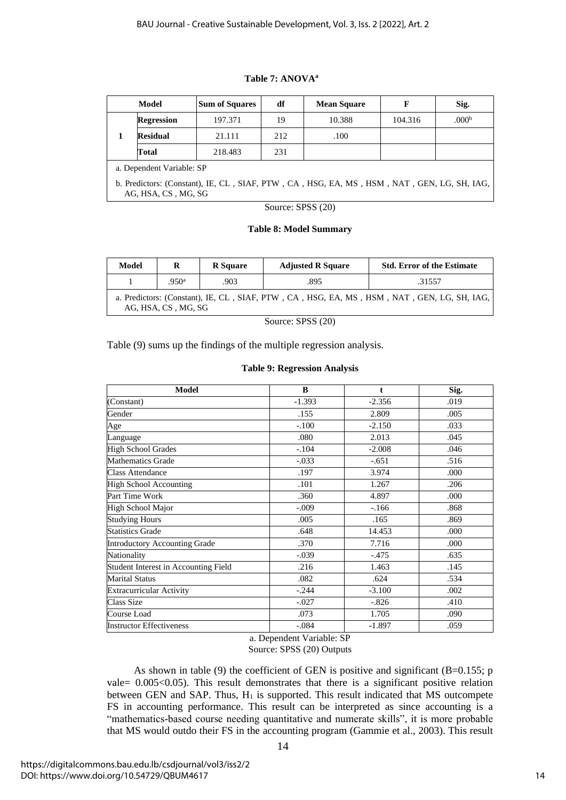#### **Table 7: ANOVA<sup>a</sup>**

| Model                                                                                                             |                           | <b>Sum of Squares</b> | df                | <b>Mean Square</b> | F       | Sig.              |  |  |  |
|-------------------------------------------------------------------------------------------------------------------|---------------------------|-----------------------|-------------------|--------------------|---------|-------------------|--|--|--|
|                                                                                                                   | <b>Regression</b>         | 197.371               | 19                | 10.388             | 104.316 | .000 <sup>b</sup> |  |  |  |
|                                                                                                                   | <b>Residual</b>           | 21.111                | 212               | .100               |         |                   |  |  |  |
|                                                                                                                   | Total                     | 218.483               | 231               |                    |         |                   |  |  |  |
|                                                                                                                   | a. Dependent Variable: SP |                       |                   |                    |         |                   |  |  |  |
| b. Predictors: (Constant), IE, CL, SIAF, PTW, CA, HSG, EA, MS, HSM, NAT, GEN, LG, SH, IAG,<br>AG, HSA, CS, MG, SG |                           |                       |                   |                    |         |                   |  |  |  |
|                                                                                                                   |                           |                       | Source: SPSS (20) |                    |         |                   |  |  |  |

### **Table 8: Model Summary**

| Model                                                                                                             | R                 | <b>R</b> Square | <b>Adjusted R Square</b> | <b>Std. Error of the Estimate</b> |  |  |  |  |  |
|-------------------------------------------------------------------------------------------------------------------|-------------------|-----------------|--------------------------|-----------------------------------|--|--|--|--|--|
|                                                                                                                   | .950 <sup>a</sup> | .903            | .895                     | .31557                            |  |  |  |  |  |
| a. Predictors: (Constant), IE, CL, SIAF, PTW, CA, HSG, EA, MS, HSM, NAT, GEN, LG, SH, IAG,<br>AG, HSA, CS, MG, SG |                   |                 |                          |                                   |  |  |  |  |  |
| Source: SPSS (20)                                                                                                 |                   |                 |                          |                                   |  |  |  |  |  |

Table (9) sums up the findings of the multiple regression analysis.

#### **Table 9: Regression Analysis**

| <b>Model</b>                         | B        | $\mathbf{t}$ | Sig. |
|--------------------------------------|----------|--------------|------|
| (Constant)                           | $-1.393$ | $-2.356$     | .019 |
| Gender                               | .155     | 2.809        | .005 |
| Age                                  | $-.100$  | $-2.150$     | .033 |
| Language                             | .080     | 2.013        | .045 |
| <b>High School Grades</b>            | $-.104$  | $-2.008$     | .046 |
| <b>Mathematics Grade</b>             | $-.033$  | $-.651$      | .516 |
| <b>Class Attendance</b>              | .197     | 3.974        | .000 |
| <b>High School Accounting</b>        | .101     | 1.267        | .206 |
| Part Time Work                       | .360     | 4.897        | .000 |
| High School Major                    | $-.009$  | $-.166$      | .868 |
| <b>Studying Hours</b>                | .005     | .165         | .869 |
| <b>Statistics Grade</b>              | .648     | 14.453       | .000 |
| <b>Introductory Accounting Grade</b> | .370     | 7.716        | .000 |
| Nationality                          | $-.039$  | $-.475$      | .635 |
| Student Interest in Accounting Field | .216     | 1.463        | .145 |
| <b>Marital Status</b>                | .082     | .624         | .534 |
| <b>Extracurricular Activity</b>      | $-.244$  | $-3.100$     | .002 |
| <b>Class Size</b>                    | $-.027$  | $-.826$      | .410 |
| Course Load                          | .073     | 1.705        | .090 |
| <b>Instructor Effectiveness</b>      | $-.084$  | $-1.897$     | .059 |

#### a. Dependent Variable: SP Source: SPSS (20) Outputs

As shown in table (9) the coefficient of GEN is positive and significant ( $B=0.155$ ; p vale= 0.005<0.05). This result demonstrates that there is a significant positive relation between GEN and SAP. Thus,  $H_1$  is supported. This result indicated that MS outcompete FS in accounting performance. This result can be interpreted as since accounting is a "mathematics-based course needing quantitative and numerate skills", it is more probable that MS would outdo their FS in the accounting program (Gammie et al., 2003). This result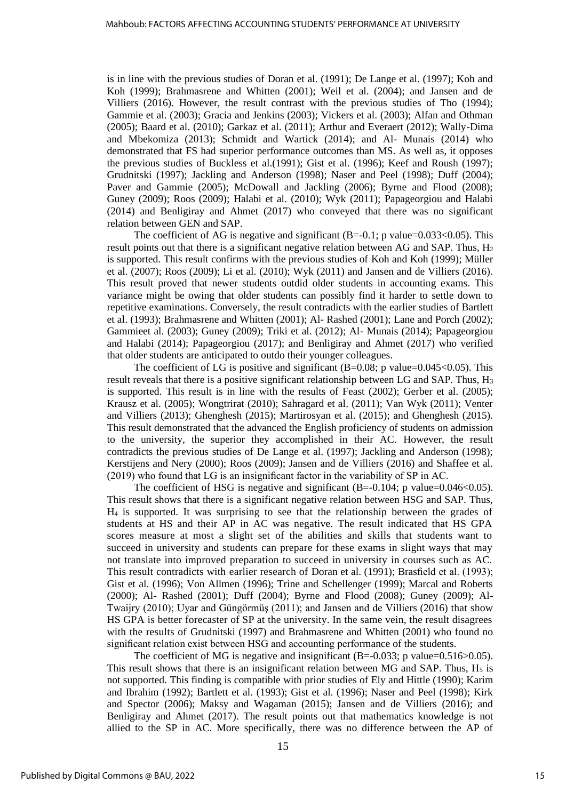is in line with the previous studies of Doran et al. (1991); De Lange et al. (1997); Koh and Koh (1999); Brahmasrene and Whitten (2001); Weil et al. (2004); and Jansen and de Villiers (2016). However, the result contrast with the previous studies of Tho (1994); Gammie et al. (2003); Gracia and Jenkins (2003); Vickers et al. (2003); Alfan and Othman (2005); Baard et al. (2010); Garkaz et al. (2011); Arthur and Everaert (2012); Wally-Dima and Mbekomiza (2013); Schmidt and Wartick (2014); and Al- Munais (2014) who demonstrated that FS had superior performance outcomes than MS. As well as, it opposes the previous studies of Buckless et al.(1991); Gist et al. (1996); Keef and Roush (1997); Grudnitski (1997); Jackling and Anderson (1998); Naser and Peel (1998); Duff (2004); Paver and Gammie (2005); McDowall and Jackling (2006); Byrne and Flood (2008); Guney (2009); Roos (2009); Halabi et al. (2010); Wyk (2011); Papageorgiou and Halabi (2014) and Benligiray and Ahmet (2017) who conveyed that there was no significant relation between GEN and SAP.

The coefficient of AG is negative and significant  $(B=0.1; p \text{ value}=0.033<0.05)$ . This result points out that there is a significant negative relation between AG and SAP. Thus,  $H_2$ is supported. This result confirms with the previous studies of Koh and Koh (1999); Müller et al. (2007); Roos (2009); Li et al. (2010); Wyk (2011) and Jansen and de Villiers (2016). This result proved that newer students outdid older students in accounting exams. This variance might be owing that older students can possibly find it harder to settle down to repetitive examinations. Conversely, the result contradicts with the earlier studies of Bartlett et al. (1993); Brahmasrene and Whitten (2001); Al- Rashed (2001); Lane and Porch (2002); Gammieet al. (2003); Guney (2009); Triki et al. (2012); Al- Munais (2014); Papageorgiou and Halabi (2014); Papageorgiou (2017); and Benligiray and Ahmet (2017) who verified that older students are anticipated to outdo their younger colleagues.

The coefficient of LG is positive and significant  $(B=0.08; p$  value=0.045<0.05). This result reveals that there is a positive significant relationship between LG and SAP. Thus,  $H_3$ is supported. This result is in line with the results of Feast (2002); Gerber et al. (2005); Krausz et al. (2005); Wongtrirat (2010); Sahragard et al. (2011); Van Wyk (2011); Venter and Villiers (2013); Ghenghesh (2015); Martirosyan et al. (2015); and Ghenghesh (2015). This result demonstrated that the advanced the English proficiency of students on admission to the university, the superior they accomplished in their AC. However, the result contradicts the previous studies of De Lange et al. (1997); Jackling and Anderson (1998); Kerstijens and Nery (2000); Roos (2009); Jansen and de Villiers (2016) and Shaffee et al. (2019) who found that LG is an insignificant factor in the variability of SP in AC.

The coefficient of HSG is negative and significant  $(B=-0.104; p$  value=0.046<0.05). This result shows that there is a significant negative relation between HSG and SAP. Thus, H<sup>4</sup> is supported. It was surprising to see that the relationship between the grades of students at HS and their AP in AC was negative. The result indicated that HS GPA scores measure at most a slight set of the abilities and skills that students want to succeed in university and students can prepare for these exams in slight ways that may not translate into improved preparation to succeed in university in courses such as AC. This result contradicts with earlier research of Doran et al. (1991); Brasfield et al. (1993); Gist et al. (1996); Von Allmen (1996); Trine and Schellenger (1999); Marcal and Roberts (2000); Al- Rashed (2001); Duff (2004); Byrne and Flood (2008); Guney (2009); Al-Twaijry (2010); Uyar and Güngörmüş (2011); and Jansen and de Villiers (2016) that show HS GPA is better forecaster of SP at the university. In the same vein, the result disagrees with the results of Grudnitski (1997) and Brahmasrene and Whitten (2001) who found no significant relation exist between HSG and accounting performance of the students.

The coefficient of MG is negative and insignificant  $(B=-0.033; p \text{ value} = 0.516 > 0.05)$ . This result shows that there is an insignificant relation between MG and SAP. Thus,  $H_5$  is not supported. This finding is compatible with prior studies of Ely and Hittle (1990); Karim and Ibrahim (1992); Bartlett et al. (1993); Gist et al. (1996); Naser and Peel (1998); Kirk and Spector (2006); Maksy and Wagaman (2015); Jansen and de Villiers (2016); and Benligiray and Ahmet (2017). The result points out that mathematics knowledge is not allied to the SP in AC. More specifically, there was no difference between the AP of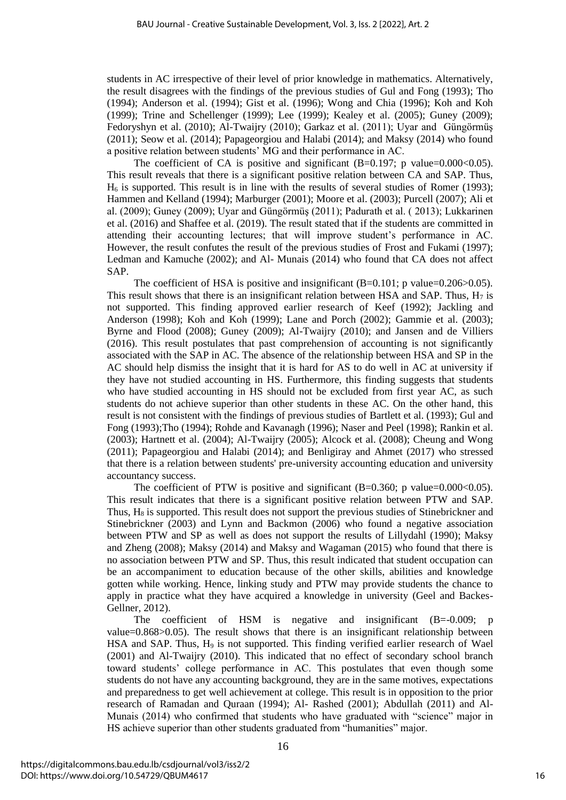students in AC irrespective of their level of prior knowledge in mathematics. Alternatively, the result disagrees with the findings of the previous studies of Gul and Fong (1993); Tho (1994); Anderson et al. (1994); Gist et al. (1996); Wong and Chia (1996); Koh and Koh (1999); Trine and Schellenger (1999); Lee (1999); Kealey et al. (2005); Guney (2009); Fedoryshyn et al. (2010); Al-Twaijry (2010); Garkaz et al. (2011); Uyar and Güngörmüş (2011); Seow et al. (2014); Papageorgiou and Halabi (2014); and Maksy (2014) who found a positive relation between students' MG and their performance in AC.

The coefficient of CA is positive and significant  $(B=0.197; p$  value=0.000<0.05). This result reveals that there is a significant positive relation between CA and SAP. Thus,  $H<sub>6</sub>$  is supported. This result is in line with the results of several studies of Romer (1993); Hammen and Kelland (1994); Marburger (2001); Moore et al. (2003); Purcell (2007); Ali et al. (2009); Guney (2009); Uyar and Güngörmüş (2011); Padurath et al. ( 2013); Lukkarinen et al. (2016) and Shaffee et al. (2019). The result stated that if the students are committed in attending their accounting lectures; that will improve student's performance in AC. However, the result confutes the result of the previous studies of Frost and Fukami (1997); Ledman and Kamuche (2002); and Al- Munais (2014) who found that CA does not affect SAP.

The coefficient of HSA is positive and insignificant (B=0.101; p value=0.206>0.05). This result shows that there is an insignificant relation between HSA and SAP. Thus,  $H_7$  is not supported. This finding approved earlier research of Keef (1992); Jackling and Anderson (1998); Koh and Koh (1999); Lane and Porch (2002); Gammie et al. (2003); Byrne and Flood (2008); Guney (2009); Al-Twaijry (2010); and Jansen and de Villiers (2016). This result postulates that past comprehension of accounting is not significantly associated with the SAP in AC. The absence of the relationship between HSA and SP in the AC should help dismiss the insight that it is hard for AS to do well in AC at university if they have not studied accounting in HS. Furthermore, this finding suggests that students who have studied accounting in HS should not be excluded from first year AC, as such students do not achieve superior than other students in these AC. On the other hand, this result is not consistent with the findings of previous studies of Bartlett et al. (1993); Gul and Fong (1993);Tho (1994); Rohde and Kavanagh (1996); Naser and Peel (1998); Rankin et al. (2003); Hartnett et al. (2004); Al-Twaijry (2005); Alcock et al. (2008); Cheung and Wong (2011); Papageorgiou and Halabi (2014); and Benligiray and Ahmet (2017) who stressed that there is a relation between students' pre-university accounting education and university accountancy success.

The coefficient of PTW is positive and significant  $(B=0.360; \text{p}$  value=0.000<0.05). This result indicates that there is a significant positive relation between PTW and SAP. Thus,  $H_8$  is supported. This result does not support the previous studies of Stinebrickner and Stinebrickner (2003) and Lynn and Backmon (2006) who found a negative association between PTW and SP as well as does not support the results of Lillydahl (1990); Maksy and Zheng (2008); Maksy (2014) and Maksy and Wagaman (2015) who found that there is no association between PTW and SP. Thus, this result indicated that student occupation can be an accompaniment to education because of the other skills, abilities and knowledge gotten while working. Hence, linking study and PTW may provide students the chance to apply in practice what they have acquired a knowledge in university (Geel and Backes-Gellner, 2012).

The coefficient of HSM is negative and insignificant (B=-0.009; p value=0.868>0.05). The result shows that there is an insignificant relationship between HSA and SAP. Thus, H<sub>9</sub> is not supported. This finding verified earlier research of Wael (2001) and Al-Twaijry (2010). This indicated that no effect of secondary school branch toward students' college performance in AC. This postulates that even though some students do not have any accounting background, they are in the same motives, expectations and preparedness to get well achievement at college. This result is in opposition to the prior research of Ramadan and Quraan (1994); Al- Rashed (2001); Abdullah (2011) and Al-Munais (2014) who confirmed that students who have graduated with "science" major in HS achieve superior than other students graduated from "humanities" major.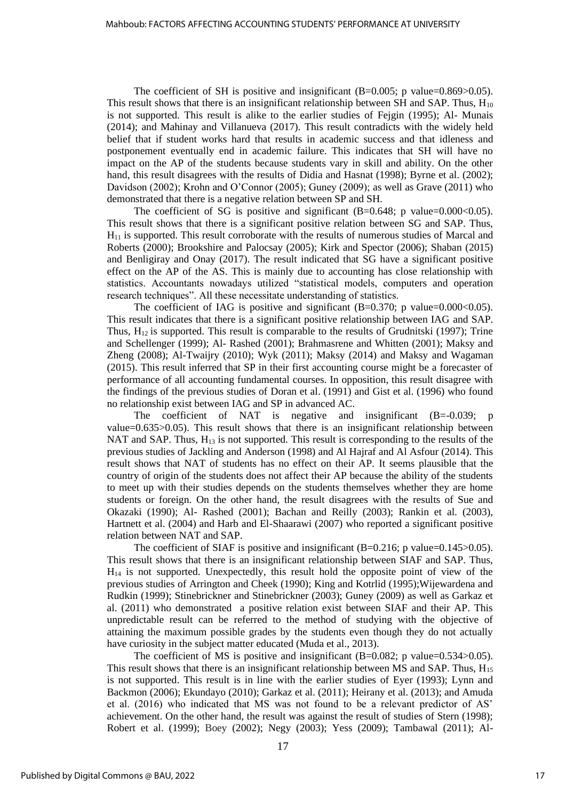The coefficient of SH is positive and insignificant  $(B=0.005; p$  value=0.869>0.05). This result shows that there is an insignificant relationship between SH and SAP. Thus,  $H_{10}$ is not supported. This result is alike to the earlier studies of Fejgin (1995); Al- Munais (2014); and Mahinay and Villanueva (2017). This result contradicts with the widely held belief that if student works hard that results in academic success and that idleness and postponement eventually end in academic failure. This indicates that SH will have no impact on the AP of the students because students vary in skill and ability. On the other hand, this result disagrees with the results of Didia and Hasnat (1998); Byrne et al. (2002); Davidson (2002); Krohn and O'Connor (2005); Guney (2009); as well as Grave (2011) who demonstrated that there is a negative relation between SP and SH.

The coefficient of SG is positive and significant  $(B=0.648; p$  value=0.000 < 0.05). This result shows that there is a significant positive relation between SG and SAP. Thus,  $H<sub>11</sub>$  is supported. This result corroborate with the results of numerous studies of Marcal and Roberts (2000); Brookshire and Palocsay (2005); Kirk and Spector (2006); Shaban (2015) and Benligiray and Onay (2017). The result indicated that SG have a significant positive effect on the AP of the AS. This is mainly due to accounting has close relationship with statistics. Accountants nowadays utilized "statistical models, computers and operation research techniques". All these necessitate understanding of statistics.

The coefficient of IAG is positive and significant  $(B=0.370; p \text{ value}=0.000<0.05)$ . This result indicates that there is a significant positive relationship between IAG and SAP. Thus,  $H_{12}$  is supported. This result is comparable to the results of Grudnitski (1997); Trine and Schellenger (1999); Al- Rashed (2001); Brahmasrene and Whitten (2001); Maksy and Zheng (2008); Al-Twaijry (2010); Wyk (2011); Maksy (2014) and Maksy and Wagaman (2015). This result inferred that SP in their first accounting course might be a forecaster of performance of all accounting fundamental courses. In opposition, this result disagree with the findings of the previous studies of Doran et al. (1991) and Gist et al. (1996) who found no relationship exist between IAG and SP in advanced AC.

The coefficient of NAT is negative and insignificant (B=-0.039; p value=0.635>0.05). This result shows that there is an insignificant relationship between NAT and SAP. Thus,  $H_{13}$  is not supported. This result is corresponding to the results of the previous studies of Jackling and Anderson (1998) and Al Hajraf and Al Asfour (2014). This result shows that NAT of students has no effect on their AP. It seems plausible that the country of origin of the students does not affect their AP because the ability of the students to meet up with their studies depends on the students themselves whether they are home students or foreign. On the other hand, the result disagrees with the results of Sue and Okazaki (1990); Al- Rashed (2001); Bachan and Reilly (2003); Rankin et al. (2003), Hartnett et al. (2004) and Harb and El-Shaarawi (2007) who reported a significant positive relation between NAT and SAP.

The coefficient of SIAF is positive and insignificant  $(B=0.216; p$  value=0.145>0.05). This result shows that there is an insignificant relationship between SIAF and SAP. Thus,  $H<sub>14</sub>$  is not supported. Unexpectedly, this result hold the opposite point of view of the previous studies of Arrington and Cheek (1990); King and Kotrlid (1995);Wijewardena and Rudkin (1999); Stinebrickner and Stinebrickner (2003); Guney (2009) as well as Garkaz et al. (2011) who demonstrated a positive relation exist between SIAF and their AP. This unpredictable result can be referred to the method of studying with the objective of attaining the maximum possible grades by the students even though they do not actually have curiosity in the subject matter educated (Muda et al., 2013).

The coefficient of MS is positive and insignificant  $(B=0.082; p$  value=0.534 $>0.05$ ). This result shows that there is an insignificant relationship between MS and SAP. Thus,  $H_{15}$ is not supported. This result is in line with the earlier studies of Eyer (1993); Lynn and Backmon (2006); Ekundayo (2010); Garkaz et al. (2011); Heirany et al. (2013); and Amuda et al. (2016) who indicated that MS was not found to be a relevant predictor of AS' achievement. On the other hand, the result was against the result of studies of Stern (1998); Robert et al. (1999); Boey (2002); Negy (2003); Yess (2009); Tambawal (2011); Al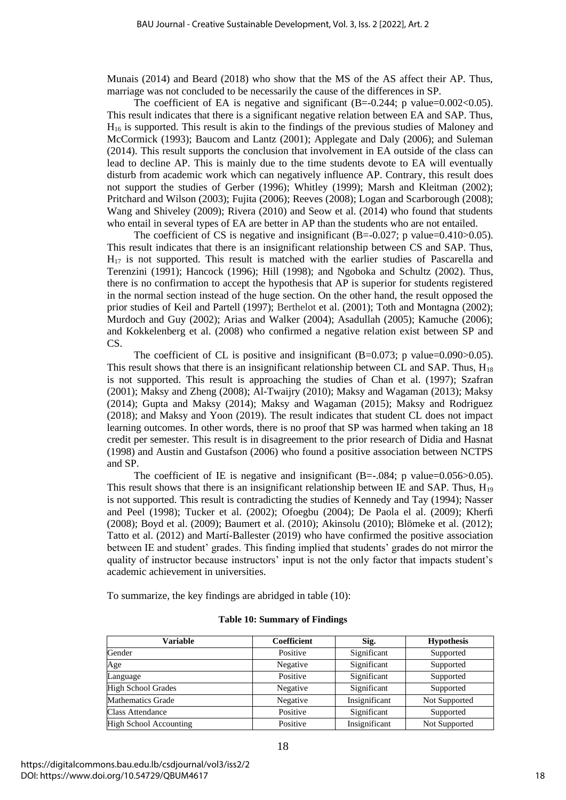Munais (2014) and Beard (2018) who show that the MS of the AS affect their AP. Thus, marriage was not concluded to be necessarily the cause of the differences in SP.

The coefficient of EA is negative and significant  $(B=-0.244; \text{ p value}=0.002<0.05)$ . This result indicates that there is a significant negative relation between EA and SAP. Thus, H<sup>16</sup> is supported. This result is akin to the findings of the previous studies of Maloney and McCormick (1993); Baucom and Lantz (2001); Applegate and Daly (2006); and Suleman (2014). This result supports the conclusion that involvement in EA outside of the class can lead to decline AP. This is mainly due to the time students devote to EA will eventually disturb from academic work which can negatively influence AP. Contrary, this result does not support the studies of Gerber (1996); Whitley (1999); Marsh and Kleitman (2002); Pritchard and Wilson (2003); Fujita (2006); Reeves (2008); Logan and Scarborough (2008); Wang and Shiveley (2009); Rivera (2010) and Seow et al. (2014) who found that students who entail in several types of EA are better in AP than the students who are not entailed.

The coefficient of CS is negative and insignificant  $(B=-0.027; p \text{ value} = 0.410 > 0.05)$ . This result indicates that there is an insignificant relationship between CS and SAP. Thus, H<sub>17</sub> is not supported. This result is matched with the earlier studies of Pascarella and Terenzini (1991); Hancock (1996); Hill (1998); and Ngoboka and Schultz (2002). Thus, there is no confirmation to accept the hypothesis that AP is superior for students registered in the normal section instead of the huge section. On the other hand, the result opposed the prior studies of Keil and Partell (1997); Berthelot et al. (2001); Toth and Montagna (2002); Murdoch and Guy (2002); Arias and Walker (2004); Asadullah (2005); Kamuche (2006); and Kokkelenberg et al. (2008) who confirmed a negative relation exist between SP and CS.

The coefficient of CL is positive and insignificant  $(B=0.073; p$  value=0.090>0.05). This result shows that there is an insignificant relationship between CL and SAP. Thus,  $H_{18}$ is not supported. This result is approaching the studies of Chan et al. (1997); Szafran (2001); Maksy and Zheng (2008); Al-Twaijry (2010); Maksy and Wagaman (2013); Maksy (2014); Gupta and Maksy (2014); Maksy and Wagaman (2015); Maksy and Rodriguez (2018); and Maksy and Yoon (2019). The result indicates that student CL does not impact learning outcomes. In other words, there is no proof that SP was harmed when taking an 18 credit per semester. This result is in disagreement to the prior research of Didia and Hasnat (1998) and Austin and Gustafson (2006) who found a positive association between NCTPS and SP.

The coefficient of IE is negative and insignificant  $(B=-.084; p \text{ value}=0.056>0.05)$ . This result shows that there is an insignificant relationship between IE and SAP. Thus,  $H_{19}$ is not supported. This result is contradicting the studies of Kennedy and Tay (1994); Nasser and Peel (1998); Tucker et al. (2002); Ofoegbu (2004); De Paola el al. (2009); Kherfi (2008); Boyd et al. (2009); Baumert et al. (2010); Akinsolu (2010); Blömeke et al. (2012); Tatto et al. (2012) and Martí-Ballester (2019) who have confirmed the positive association between IE and student' grades. This finding implied that students' grades do not mirror the quality of instructor because instructors' input is not the only factor that impacts student's academic achievement in universities.

To summarize, the key findings are abridged in table (10):

|  |  |  | <b>Table 10: Summary of Findings</b> |
|--|--|--|--------------------------------------|
|--|--|--|--------------------------------------|

| Variable                      | Coefficient | Sig.          | <b>Hypothesis</b> |
|-------------------------------|-------------|---------------|-------------------|
| Gender                        | Positive    | Significant   | Supported         |
| Age                           | Negative    | Significant   | Supported         |
| Language                      | Positive    | Significant   | Supported         |
| <b>High School Grades</b>     | Negative    | Significant   | Supported         |
| <b>Mathematics Grade</b>      | Negative    | Insignificant | Not Supported     |
| <b>Class Attendance</b>       | Positive    | Significant   | Supported         |
| <b>High School Accounting</b> | Positive    | Insignificant | Not Supported     |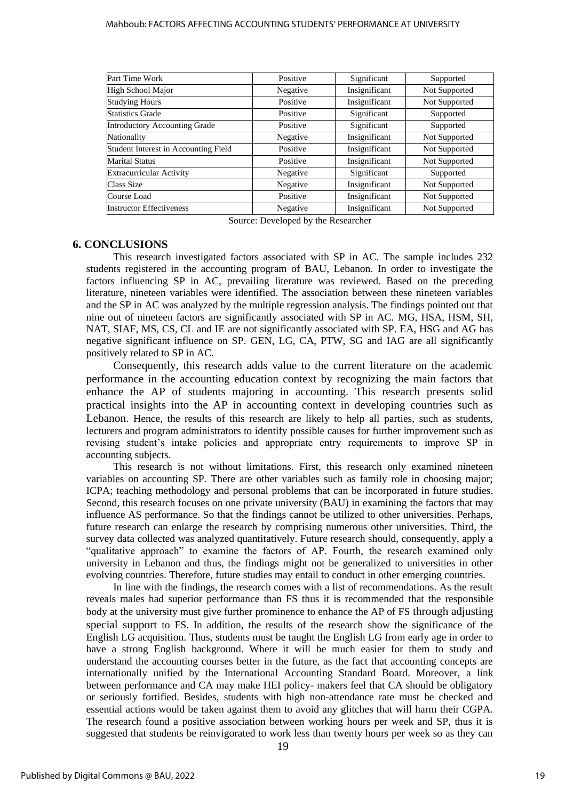#### Mahboub: FACTORS AFFECTING ACCOUNTING STUDENTS' PERFORMANCE AT UNIVERSITY

| Part Time Work                       | Positive | Significant   | Supported     |
|--------------------------------------|----------|---------------|---------------|
| High School Major                    | Negative | Insignificant | Not Supported |
| <b>Studying Hours</b>                | Positive | Insignificant | Not Supported |
| <b>Statistics Grade</b>              | Positive | Significant   | Supported     |
| Introductory Accounting Grade        | Positive | Significant   | Supported     |
| Nationality                          | Negative | Insignificant | Not Supported |
| Student Interest in Accounting Field | Positive | Insignificant | Not Supported |
| <b>Marital Status</b>                | Positive | Insignificant | Not Supported |
| <b>Extracurricular Activity</b>      | Negative | Significant   | Supported     |
| Class Size                           | Negative | Insignificant | Not Supported |
| Course Load                          | Positive | Insignificant | Not Supported |
| <b>Instructor Effectiveness</b>      | Negative | Insignificant | Not Supported |

Source: Developed by the Researcher

#### **6. CONCLUSIONS**

This research investigated factors associated with SP in AC. The sample includes 232 students registered in the accounting program of BAU, Lebanon. In order to investigate the factors influencing SP in AC, prevailing literature was reviewed. Based on the preceding literature, nineteen variables were identified. The association between these nineteen variables and the SP in AC was analyzed by the multiple regression analysis. The findings pointed out that nine out of nineteen factors are significantly associated with SP in AC. MG, HSA, HSM, SH, NAT, SIAF, MS, CS, CL and IE are not significantly associated with SP. EA, HSG and AG has negative significant influence on SP. GEN, LG, CA, PTW, SG and IAG are all significantly positively related to SP in AC.

Consequently, this research adds value to the current literature on the academic performance in the accounting education context by recognizing the main factors that enhance the AP of students majoring in accounting. This research presents solid practical insights into the AP in accounting context in developing countries such as Lebanon. Hence, the results of this research are likely to help all parties, such as students, lecturers and program administrators to identify possible causes for further improvement such as revising student's intake policies and appropriate entry requirements to improve SP in accounting subjects.

This research is not without limitations. First, this research only examined nineteen variables on accounting SP. There are other variables such as family role in choosing major; ICPA; teaching methodology and personal problems that can be incorporated in future studies. Second, this research focuses on one private university (BAU) in examining the factors that may influence AS performance. So that the findings cannot be utilized to other universities. Perhaps, future research can enlarge the research by comprising numerous other universities. Third, the survey data collected was analyzed quantitatively. Future research should, consequently, apply a "qualitative approach" to examine the factors of AP. Fourth, the research examined only university in Lebanon and thus, the findings might not be generalized to universities in other evolving countries. Therefore, future studies may entail to conduct in other emerging countries.

In line with the findings, the research comes with a list of recommendations. As the result reveals males had superior performance than FS thus it is recommended that the responsible body at the university must give further prominence to enhance the AP of FS through adjusting special support to FS. In addition, the results of the research show the significance of the English LG acquisition. Thus, students must be taught the English LG from early age in order to have a strong English background. Where it will be much easier for them to study and understand the accounting courses better in the future, as the fact that accounting concepts are internationally unified by the International Accounting Standard Board. Moreover, a link between performance and CA may make HEI policy- makers feel that CA should be obligatory or seriously fortified. Besides, students with high non-attendance rate must be checked and essential actions would be taken against them to avoid any glitches that will harm their CGPA. The research found a positive association between working hours per week and SP, thus it is suggested that students be reinvigorated to work less than twenty hours per week so as they can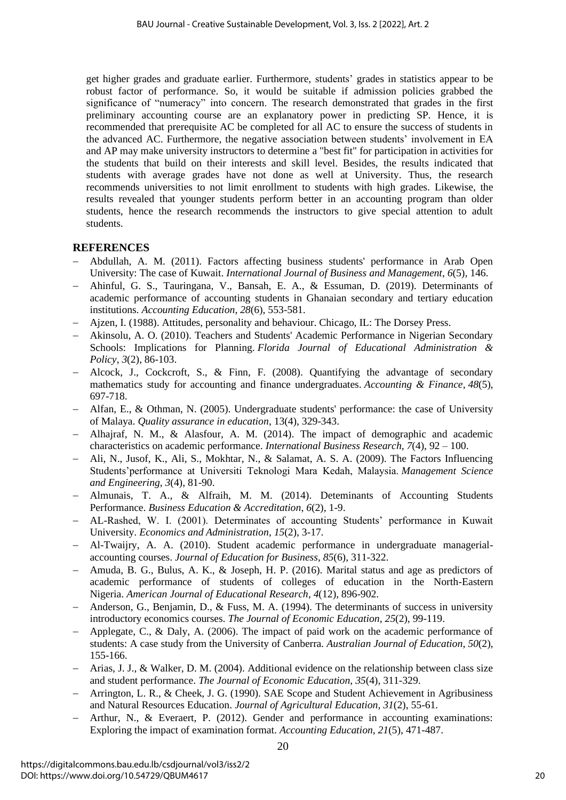get higher grades and graduate earlier. Furthermore, students' grades in statistics appear to be robust factor of performance. So, it would be suitable if admission policies grabbed the significance of "numeracy" into concern. The research demonstrated that grades in the first preliminary accounting course are an explanatory power in predicting SP. Hence, it is recommended that prerequisite AC be completed for all AC to ensure the success of students in the advanced AC. Furthermore, the negative association between students' involvement in EA and AP may make university instructors to determine a "best fit" for participation in activities for the students that build on their interests and skill level. Besides, the results indicated that students with average grades have not done as well at University. Thus, the research recommends universities to not limit enrollment to students with high grades. Likewise, the results revealed that younger students perform better in an accounting program than older students, hence the research recommends the instructors to give special attention to adult students.

## **REFERENCES**

- − Abdullah, A. M. (2011). Factors affecting business students' performance in Arab Open University: The case of Kuwait. *International Journal of Business and Management*, *6*(5), 146.
- − Ahinful, G. S., Tauringana, V., Bansah, E. A., & Essuman, D. (2019). Determinants of academic performance of accounting students in Ghanaian secondary and tertiary education institutions. *Accounting Education*, *28*(6), 553-581.
- − Ajzen, I. (1988). Attitudes, personality and behaviour. Chicago, IL: The Dorsey Press.
- − Akinsolu, A. O. (2010). Teachers and Students' Academic Performance in Nigerian Secondary Schools: Implications for Planning. *Florida Journal of Educational Administration & Policy*, *3*(2), 86-103.
- − Alcock, J., Cockcroft, S., & Finn, F. (2008). Quantifying the advantage of secondary mathematics study for accounting and finance undergraduates. *Accounting & Finance*, *48*(5), 697-718.
- − Alfan, E., & Othman, N. (2005). Undergraduate students' performance: the case of University of Malaya. *Quality assurance in education*, 13(4), 329-343.
- − Alhajraf, N. M., & Alasfour, A. M. (2014). The impact of demographic and academic characteristics on academic performance. *International Business Research*, *7*(4), 92 – 100.
- − Ali, N., Jusof, K., Ali, S., Mokhtar, N., & Salamat, A. S. A. (2009). The Factors Influencing Students'performance at Universiti Teknologi Mara Kedah, Malaysia. *Management Science and Engineering*, *3*(4), 81-90.
- − Almunais, T. A., & Alfraih, M. M. (2014). Deteminants of Accounting Students Performance. *Business Education & Accreditation*, *6*(2), 1-9.
- − AL-Rashed, W. I. (2001). Determinates of accounting Students' performance in Kuwait University. *Economics and Administration*, *15*(2), 3-17.
- − Al-Twaijry, A. A. (2010). Student academic performance in undergraduate managerialaccounting courses. *Journal of Education for Business*, *85*(6), 311-322.
- − Amuda, B. G., Bulus, A. K., & Joseph, H. P. (2016). Marital status and age as predictors of academic performance of students of colleges of education in the North-Eastern Nigeria. *American Journal of Educational Research*, *4*(12), 896-902.
- − Anderson, G., Benjamin, D., & Fuss, M. A. (1994). The determinants of success in university introductory economics courses. *The Journal of Economic Education*, *25*(2), 99-119.
- − Applegate, C., & Daly, A. (2006). The impact of paid work on the academic performance of students: A case study from the University of Canberra. *Australian Journal of Education*, *50*(2), 155-166.
- − Arias, J. J., & Walker, D. M. (2004). Additional evidence on the relationship between class size and student performance. *The Journal of Economic Education*, *35*(4), 311-329.
- − Arrington, L. R., & Cheek, J. G. (1990). SAE Scope and Student Achievement in Agribusiness and Natural Resources Education. *Journal of Agricultural Education*, *31*(2), 55-61.
- − Arthur, N., & Everaert, P. (2012). Gender and performance in accounting examinations: Exploring the impact of examination format. *Accounting Education*, *21*(5), 471-487.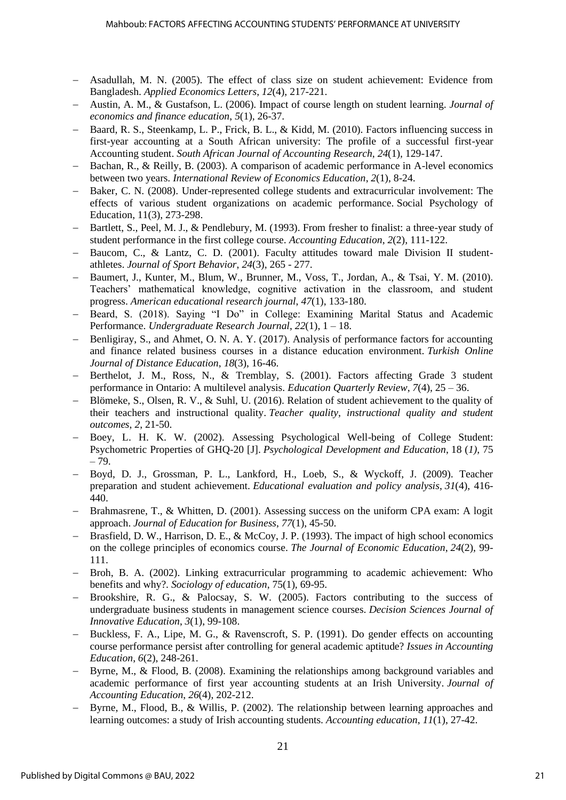- − Asadullah, M. N. (2005). The effect of class size on student achievement: Evidence from Bangladesh. *Applied Economics Letters*, *12*(4), 217-221.
- − Austin, A. M., & Gustafson, L. (2006). Impact of course length on student learning. *Journal of economics and finance education*, *5*(1), 26-37.
- Baard, R. S., Steenkamp, L. P., Frick, B. L., & Kidd, M. (2010). Factors influencing success in first-year accounting at a South African university: The profile of a successful first-year Accounting student. *South African Journal of Accounting Research*, *24*(1), 129-147.
- Bachan, R., & Reilly, B. (2003). A comparison of academic performance in A-level economics between two years. *International Review of Economics Education*, *2*(1), 8-24.
- − Baker, C. N. (2008). Under-represented college students and extracurricular involvement: The effects of various student organizations on academic performance. Social Psychology of Education, 11(3), 273-298.
- Bartlett, S., Peel, M. J., & Pendlebury, M. (1993). From fresher to finalist: a three-year study of student performance in the first college course. *Accounting Education*, *2*(2), 111-122.
- − Baucom, C., & Lantz, C. D. (2001). Faculty attitudes toward male Division II studentathletes. *Journal of Sport Behavior*, *24*(3), 265 - 277.
- − Baumert, J., Kunter, M., Blum, W., Brunner, M., Voss, T., Jordan, A., & Tsai, Y. M. (2010). Teachers' mathematical knowledge, cognitive activation in the classroom, and student progress. *American educational research journal*, *47*(1), 133-180.
- − Beard, S. (2018). Saying "I Do" in College: Examining Marital Status and Academic Performance. *Undergraduate Research Journal*, *22*(1), 1 – 18.
- Benligiray, S., and Ahmet, O. N. A. Y. (2017). Analysis of performance factors for accounting and finance related business courses in a distance education environment. *Turkish Online Journal of Distance Education*, *18*(3), 16-46.
- − Berthelot, J. M., Ross, N., & Tremblay, S. (2001). Factors affecting Grade 3 student performance in Ontario: A multilevel analysis. *Education Quarterly Review*, *7*(4), 25 – 36.
- − Blömeke, S., Olsen, R. V., & Suhl, U. (2016). Relation of student achievement to the quality of their teachers and instructional quality. *Teacher quality, instructional quality and student outcomes*, *2*, 21-50.
- − Boey, L. H. K. W. (2002). Assessing Psychological Well-being of College Student: Psychometric Properties of GHQ-20 [J]. *Psychological Development and Education*, 18 (*1)*, 75 – 79.
- − Boyd, D. J., Grossman, P. L., Lankford, H., Loeb, S., & Wyckoff, J. (2009). Teacher preparation and student achievement. *Educational evaluation and policy analysis*, *31*(4), 416- 440.
- − Brahmasrene, T., & Whitten, D. (2001). Assessing success on the uniform CPA exam: A logit approach. *Journal of Education for Business*, *77*(1), 45-50.
- − Brasfield, D. W., Harrison, D. E., & McCoy, J. P. (1993). The impact of high school economics on the college principles of economics course. *The Journal of Economic Education*, *24*(2), 99- 111.
- − Broh, B. A. (2002). Linking extracurricular programming to academic achievement: Who benefits and why?. *Sociology of education*, 75(1), 69-95.
- Brookshire, R. G., & Palocsay, S. W. (2005). Factors contributing to the success of undergraduate business students in management science courses. *Decision Sciences Journal of Innovative Education*, *3*(1), 99-108.
- − Buckless, F. A., Lipe, M. G., & Ravenscroft, S. P. (1991). Do gender effects on accounting course performance persist after controlling for general academic aptitude? *Issues in Accounting Education*, *6*(2), 248-261.
- − Byrne, M., & Flood, B. (2008). Examining the relationships among background variables and academic performance of first year accounting students at an Irish University. *Journal of Accounting Education*, *26*(4), 202-212.
- Byrne, M., Flood, B., & Willis, P. (2002). The relationship between learning approaches and learning outcomes: a study of Irish accounting students. *Accounting education*, *11*(1), 27-42.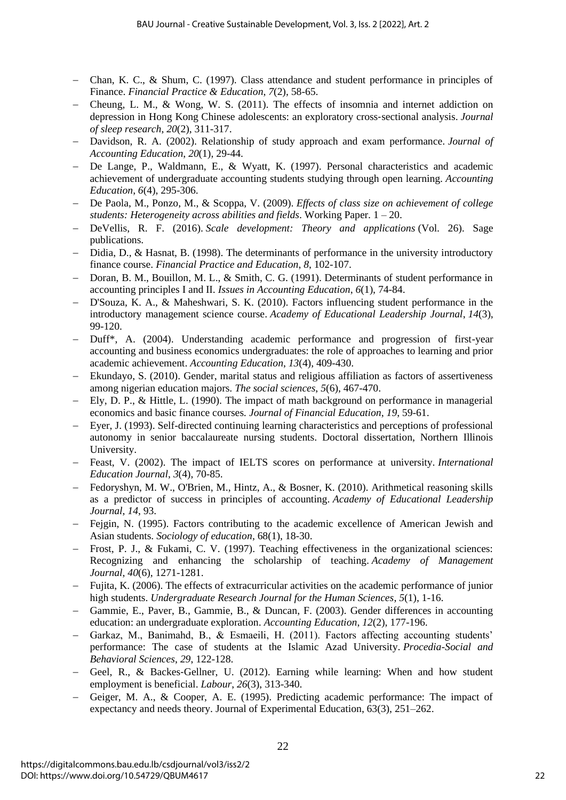- − Chan, K. C., & Shum, C. (1997). Class attendance and student performance in principles of Finance. *Financial Practice & Education*, *7*(2), 58-65.
- − Cheung, L. M., & Wong, W. S. (2011). The effects of insomnia and internet addiction on depression in Hong Kong Chinese adolescents: an exploratory cross‐sectional analysis. *Journal of sleep research*, *20*(2), 311-317.
- − Davidson, R. A. (2002). Relationship of study approach and exam performance. *Journal of Accounting Education*, *20*(1), 29-44.
- − De Lange, P., Waldmann, E., & Wyatt, K. (1997). Personal characteristics and academic achievement of undergraduate accounting students studying through open learning. *Accounting Education*, *6*(4), 295-306.
- − De Paola, M., Ponzo, M., & Scoppa, V. (2009). *Effects of class size on achievement of college students: Heterogeneity across abilities and fields*. Working Paper. 1 – 20.
- − DeVellis, R. F. (2016). *Scale development: Theory and applications* (Vol. 26). Sage publications.
- Didia, D., & Hasnat, B. (1998). The determinants of performance in the university introductory finance course. *Financial Practice and Education*, *8*, 102-107.
- Doran, B. M., Bouillon, M. L., & Smith, C. G. (1991). Determinants of student performance in accounting principles I and II. *Issues in Accounting Education*, *6*(1), 74-84.
- − D'Souza, K. A., & Maheshwari, S. K. (2010). Factors influencing student performance in the introductory management science course. *Academy of Educational Leadership Journal*, *14*(3), 99-120.
- − Duff\*, A. (2004). Understanding academic performance and progression of first-year accounting and business economics undergraduates: the role of approaches to learning and prior academic achievement. *Accounting Education*, *13*(4), 409-430.
- − Ekundayo, S. (2010). Gender, marital status and religious affiliation as factors of assertiveness among nigerian education majors. *The social sciences*, *5*(6), 467-470.
- − Ely, D. P., & Hittle, L. (1990). The impact of math background on performance in managerial economics and basic finance courses. *Journal of Financial Education*, *19*, 59-61.
- Eyer, J. (1993). Self-directed continuing learning characteristics and perceptions of professional autonomy in senior baccalaureate nursing students. Doctoral dissertation, Northern Illinois University.
- − Feast, V. (2002). The impact of IELTS scores on performance at university. *International Education Journal*, *3*(4), 70-85.
- − Fedoryshyn, M. W., O'Brien, M., Hintz, A., & Bosner, K. (2010). Arithmetical reasoning skills as a predictor of success in principles of accounting. *Academy of Educational Leadership Journal*, *14*, 93.
- − Fejgin, N. (1995). Factors contributing to the academic excellence of American Jewish and Asian students. *Sociology of education*, 68(1), 18-30.
- − Frost, P. J., & Fukami, C. V. (1997). Teaching effectiveness in the organizational sciences: Recognizing and enhancing the scholarship of teaching. *Academy of Management Journal*, *40*(6), 1271-1281.
- − Fujita, K. (2006). The effects of extracurricular activities on the academic performance of junior high students. *Undergraduate Research Journal for the Human Sciences*, *5*(1), 1-16.
- − Gammie, E., Paver, B., Gammie, B., & Duncan, F. (2003). Gender differences in accounting education: an undergraduate exploration. *Accounting Education*, *12*(2), 177-196.
- − Garkaz, M., Banimahd, B., & Esmaeili, H. (2011). Factors affecting accounting students' performance: The case of students at the Islamic Azad University. *Procedia-Social and Behavioral Sciences*, *29*, 122-128.
- − Geel, R., & Backes‐Gellner, U. (2012). Earning while learning: When and how student employment is beneficial. *Labour*, *26*(3), 313-340.
- − Geiger, M. A., & Cooper, A. E. (1995). Predicting academic performance: The impact of expectancy and needs theory. Journal of Experimental Education, 63(3), 251–262.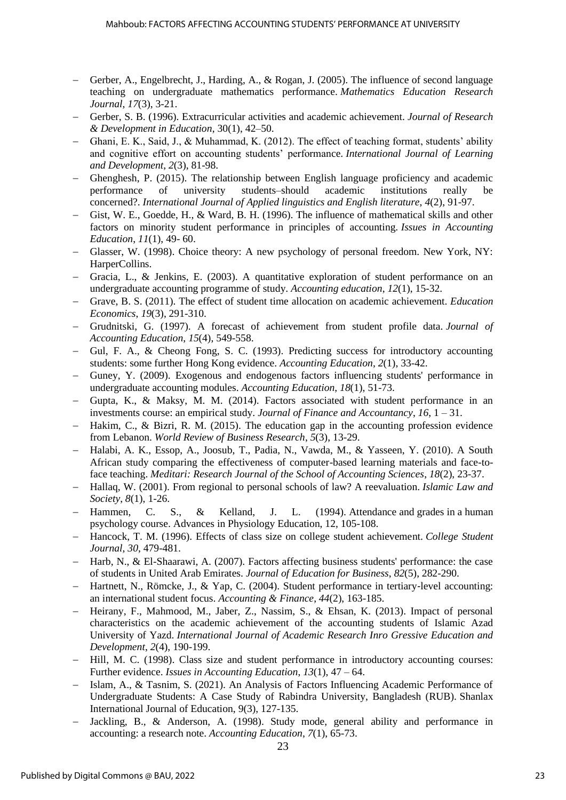- − Gerber, A., Engelbrecht, J., Harding, A., & Rogan, J. (2005). The influence of second language teaching on undergraduate mathematics performance. *Mathematics Education Research Journal*, *17*(3), 3-21.
- − Gerber, S. B. (1996). Extracurricular activities and academic achievement. *Journal of Research & Development in Education*, 30(1), 42–50.
- − Ghani, E. K., Said, J., & Muhammad, K. (2012). The effect of teaching format, students' ability and cognitive effort on accounting students' performance. *International Journal of Learning and Development*, *2*(3), 81-98.
- − Ghenghesh, P. (2015). The relationship between English language proficiency and academic performance of university students–should academic institutions really be concerned?. *International Journal of Applied linguistics and English literature*, *4*(2), 91-97.
- − Gist, W. E., Goedde, H., & Ward, B. H. (1996). The influence of mathematical skills and other factors on minority student performance in principles of accounting. *Issues in Accounting Education*, *11*(1), 49- 60.
- − Glasser, W. (1998). Choice theory: A new psychology of personal freedom. New York, NY: HarperCollins.
- − Gracia, L., & Jenkins, E. (2003). A quantitative exploration of student performance on an undergraduate accounting programme of study. *Accounting education*, *12*(1), 15-32.
- − Grave, B. S. (2011). The effect of student time allocation on academic achievement. *Education Economics*, *19*(3), 291-310.
- − Grudnitski, G. (1997). A forecast of achievement from student profile data. *Journal of Accounting Education*, *15*(4), 549-558.
- − Gul, F. A., & Cheong Fong, S. C. (1993). Predicting success for introductory accounting students: some further Hong Kong evidence. *Accounting Education*, *2*(1), 33-42.
- − Guney, Y. (2009). Exogenous and endogenous factors influencing students' performance in undergraduate accounting modules. *Accounting Education*, *18*(1), 51-73.
- − Gupta, K., & Maksy, M. M. (2014). Factors associated with student performance in an investments course: an empirical study. *Journal of Finance and Accountancy*, *16*, 1 – 31.
- − Hakim, C., & Bizri, R. M. (2015). The education gap in the accounting profession evidence from Lebanon. *World Review of Business Research*, *5*(3), 13-29.
- − Halabi, A. K., Essop, A., Joosub, T., Padia, N., Vawda, M., & Yasseen, Y. (2010). A South African study comparing the effectiveness of computer-based learning materials and face-toface teaching. *Meditari: Research Journal of the School of Accounting Sciences*, *18*(2), 23-37.
- − Hallaq, W. (2001). From regional to personal schools of law? A reevaluation. *Islamic Law and Society*, *8*(1), 1-26.
- − Hammen, C. S., & Kelland, J. L. (1994). Attendance and grades in a human psychology course. Advances in Physiology Education, 12, 105-108.
- − Hancock, T. M. (1996). Effects of class size on college student achievement. *College Student Journal*, *30*, 479-481.
- − Harb, N., & El-Shaarawi, A. (2007). Factors affecting business students' performance: the case of students in United Arab Emirates. *Journal of Education for Business*, *82*(5), 282-290.
- − Hartnett, N., Römcke, J., & Yap, C. (2004). Student performance in tertiary‐level accounting: an international student focus. *Accounting & Finance*, *44*(2), 163-185.
- − Heirany, F., Mahmood, M., Jaber, Z., Nassim, S., & Ehsan, K. (2013). Impact of personal characteristics on the academic achievement of the accounting students of Islamic Azad University of Yazd. *International Journal of Academic Research Inro Gressive Education and Development*, *2*(4), 190-199.
- − Hill, M. C. (1998). Class size and student performance in introductory accounting courses: Further evidence. *Issues in Accounting Education*, *13*(1), 47 – 64.
- − Islam, A., & Tasnim, S. (2021). An Analysis of Factors Influencing Academic Performance of Undergraduate Students: A Case Study of Rabindra University, Bangladesh (RUB). Shanlax International Journal of Education, 9(3), 127-135.
- − Jackling, B., & Anderson, A. (1998). Study mode, general ability and performance in accounting: a research note. *Accounting Education*, *7*(1), 65-73.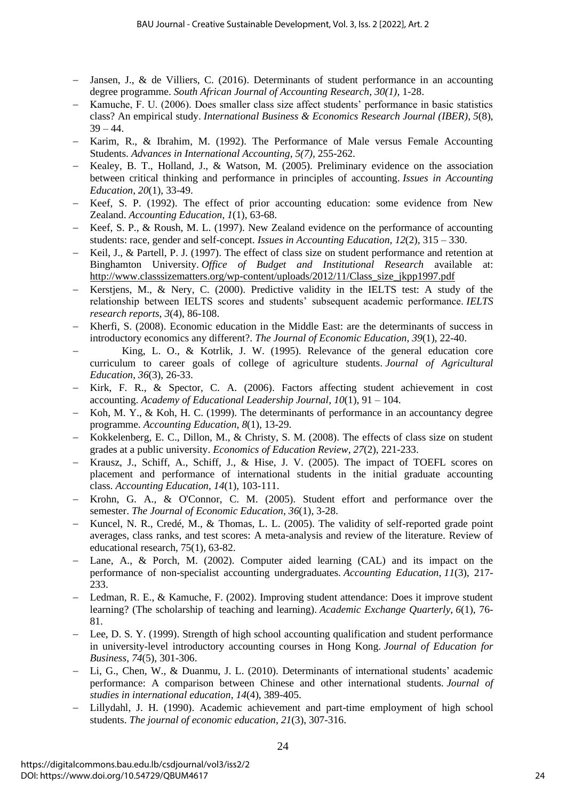- − Jansen, J., & de Villiers, C. (2016). Determinants of student performance in an accounting degree programme. *South African Journal of Accounting Research*, *30(1),* 1-28.
- Kamuche, F. U. (2006). Does smaller class size affect students' performance in basic statistics class? An empirical study. *International Business & Economics Research Journal (IBER)*, *5*(8),  $39 - 44.$
- − Karim, R., & Ibrahim, M. (1992). The Performance of Male versus Female Accounting Students. *Advances in International Accounting*, *5(7),* 255-262.
- − Kealey, B. T., Holland, J., & Watson, M. (2005). Preliminary evidence on the association between critical thinking and performance in principles of accounting. *Issues in Accounting Education*, *20*(1), 33-49.
- − Keef, S. P. (1992). The effect of prior accounting education: some evidence from New Zealand. *Accounting Education*, *1*(1), 63-68.
- Keef, S. P., & Roush, M. L. (1997). New Zealand evidence on the performance of accounting students: race, gender and self-concept. *Issues in Accounting Education*, *12*(2), 315 – 330.
- Keil, J., & Partell, P. J. (1997). The effect of class size on student performance and retention at Binghamton University. *Office of Budget and Institutional Research* available at: [http://www.classsizematters.org/wp-content/uploads/2012/11/Class\\_size\\_jkpp1997.pdf](http://www.classsizematters.org/wp-content/uploads/2012/11/Class_size_jkpp1997.pdf)
- − Kerstjens, M., & Nery, C. (2000). Predictive validity in the IELTS test: A study of the relationship between IELTS scores and students' subsequent academic performance. *IELTS research reports*, *3*(4), 86-108.
- − Kherfi, S. (2008). Economic education in the Middle East: are the determinants of success in introductory economics any different?. *The Journal of Economic Education*, *39*(1), 22-40.
- − King, L. O., & Kotrlik, J. W. (1995). Relevance of the general education core curriculum to career goals of college of agriculture students. *Journal of Agricultural Education*, *36*(3), 26-33.
- Kirk, F. R., & Spector, C. A. (2006). Factors affecting student achievement in cost accounting. *Academy of Educational Leadership Journal*, *10*(1), 91 – 104.
- Koh, M. Y., & Koh, H. C. (1999). The determinants of performance in an accountancy degree programme. *Accounting Education*, *8*(1), 13-29.
- − Kokkelenberg, E. C., Dillon, M., & Christy, S. M. (2008). The effects of class size on student grades at a public university. *Economics of Education Review*, *27*(2), 221-233.
- Krausz, J., Schiff, A., Schiff, J., & Hise, J. V. (2005). The impact of TOEFL scores on placement and performance of international students in the initial graduate accounting class. *Accounting Education*, *14*(1), 103-111.
- − Krohn, G. A., & O'Connor, C. M. (2005). Student effort and performance over the semester. *The Journal of Economic Education*, *36*(1), 3-28.
- Kuncel, N. R., Credé, M., & Thomas, L. L. (2005). The validity of self-reported grade point averages, class ranks, and test scores: A meta-analysis and review of the literature. Review of educational research, 75(1), 63-82.
- Lane, A., & Porch, M. (2002). Computer aided learning (CAL) and its impact on the performance of non-specialist accounting undergraduates. *Accounting Education*, *11*(3), 217- 233.
- − Ledman, R. E., & Kamuche, F. (2002). Improving student attendance: Does it improve student learning? (The scholarship of teaching and learning). *Academic Exchange Quarterly*, *6*(1), 76- 81.
- Lee, D. S. Y. (1999). Strength of high school accounting qualification and student performance in university-level introductory accounting courses in Hong Kong. *Journal of Education for Business*, *74*(5), 301-306.
- − Li, G., Chen, W., & Duanmu, J. L. (2010). Determinants of international students' academic performance: A comparison between Chinese and other international students. *Journal of studies in international education*, *14*(4), 389-405.
- Lillydahl, J. H. (1990). Academic achievement and part-time employment of high school students. *The journal of economic education*, *21*(3), 307-316.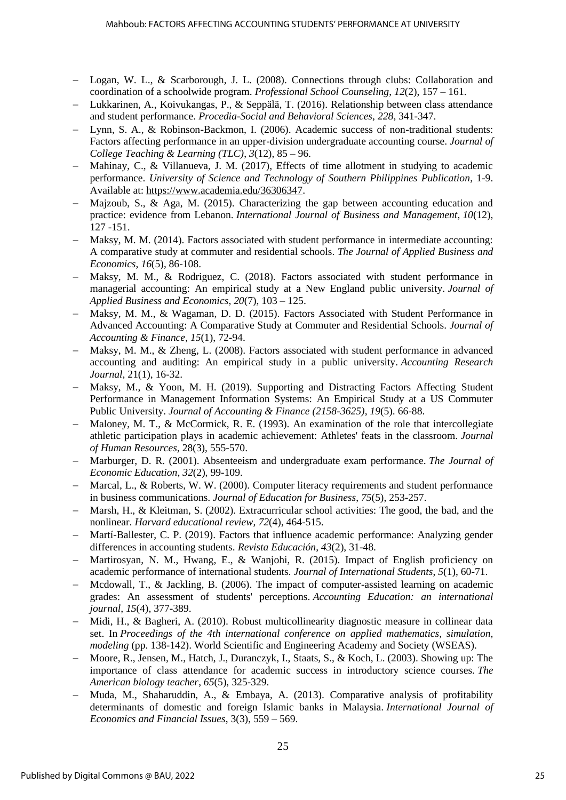- − Logan, W. L., & Scarborough, J. L. (2008). Connections through clubs: Collaboration and coordination of a schoolwide program. *Professional School Counseling*, *12*(2), 157 – 161.
- − Lukkarinen, A., Koivukangas, P., & Seppälä, T. (2016). Relationship between class attendance and student performance. *Procedia-Social and Behavioral Sciences*, *228*, 341-347.
- − Lynn, S. A., & Robinson-Backmon, I. (2006). Academic success of non-traditional students: Factors affecting performance in an upper-division undergraduate accounting course. *Journal of College Teaching & Learning (TLC)*, *3*(12), 85 – 96.
- − Mahinay, C., & Villanueva, J. M. (2017), Effects of time allotment in studying to academic performance. *University of Science and Technology of Southern Philippines Publication*, 1-9. Available at: [https://www.academia.edu/36306347.](https://www.academia.edu/36306347)
- − Majzoub, S., & Aga, M. (2015). Characterizing the gap between accounting education and practice: evidence from Lebanon. *International Journal of Business and Management*, *10*(12), 127 -151.
- Maksy, M. M. (2014). Factors associated with student performance in intermediate accounting: A comparative study at commuter and residential schools. *The Journal of Applied Business and Economics*, *16*(5), 86-108.
- − Maksy, M. M., & Rodriguez, C. (2018). Factors associated with student performance in managerial accounting: An empirical study at a New England public university. *Journal of Applied Business and Economics*, *20*(7), 103 – 125.
- − Maksy, M. M., & Wagaman, D. D. (2015). Factors Associated with Student Performance in Advanced Accounting: A Comparative Study at Commuter and Residential Schools. *Journal of Accounting & Finance*, *15*(1), 72-94.
- − Maksy, M. M., & Zheng, L. (2008). Factors associated with student performance in advanced accounting and auditing: An empirical study in a public university. *Accounting Research Journal*, 21(1), 16-32.
- − Maksy, M., & Yoon, M. H. (2019). Supporting and Distracting Factors Affecting Student Performance in Management Information Systems: An Empirical Study at a US Commuter Public University. *Journal of Accounting & Finance (2158-3625)*, *19*(5). 66-88.
- Maloney, M. T., & McCormick, R. E. (1993). An examination of the role that intercollegiate athletic participation plays in academic achievement: Athletes' feats in the classroom. *Journal of Human Resources*, 28(3), 555-570.
- − Marburger, D. R. (2001). Absenteeism and undergraduate exam performance. *The Journal of Economic Education*, *32*(2), 99-109.
- − Marcal, L., & Roberts, W. W. (2000). Computer literacy requirements and student performance in business communications. *Journal of Education for Business*, *75*(5), 253-257.
- − Marsh, H., & Kleitman, S. (2002). Extracurricular school activities: The good, the bad, and the nonlinear. *Harvard educational review*, *72*(4), 464-515.
- − Martí-Ballester, C. P. (2019). Factors that influence academic performance: Analyzing gender differences in accounting students. *Revista Educación*, *43*(2), 31-48.
- Martirosyan, N. M., Hwang, E., & Wanjohi, R. (2015). Impact of English proficiency on academic performance of international students. *Journal of International Students*, *5*(1), 60-71.
- − Mcdowall, T., & Jackling, B. (2006). The impact of computer-assisted learning on academic grades: An assessment of students' perceptions. *Accounting Education: an international journal*, *15*(4), 377-389.
- − Midi, H., & Bagheri, A. (2010). Robust multicollinearity diagnostic measure in collinear data set. In *Proceedings of the 4th international conference on applied mathematics, simulation, modeling* (pp. 138-142). World Scientific and Engineering Academy and Society (WSEAS).
- − Moore, R., Jensen, M., Hatch, J., Duranczyk, I., Staats, S., & Koch, L. (2003). Showing up: The importance of class attendance for academic success in introductory science courses. *The American biology teacher*, *65*(5), 325-329.
- − Muda, M., Shaharuddin, A., & Embaya, A. (2013). Comparative analysis of profitability determinants of domestic and foreign Islamic banks in Malaysia. *International Journal of Economics and Financial Issues*, 3(3), 559 – 569.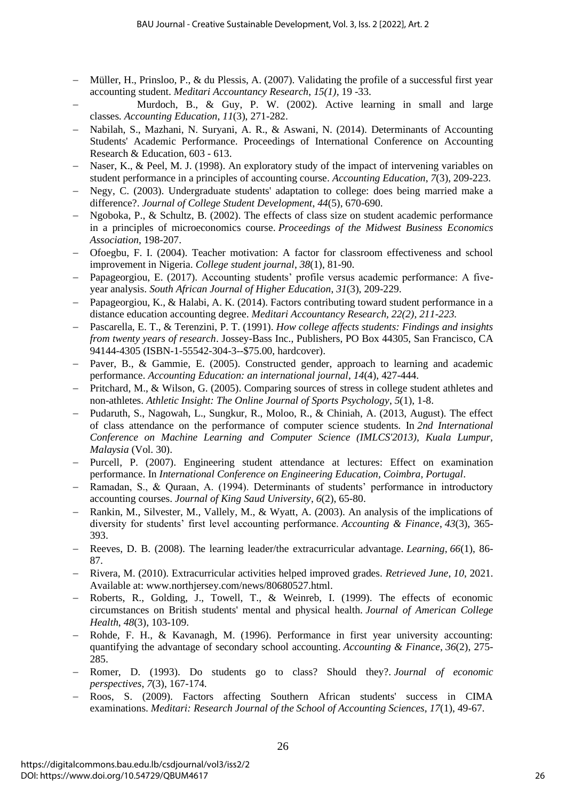- − Müller, H., Prinsloo, P., & du Plessis, A. (2007). Validating the profile of a successful first year accounting student. *Meditari Accountancy Research*, *15(1),* 19 -33.
- − Murdoch, B., & Guy, P. W. (2002). Active learning in small and large classes. *Accounting Education*, *11*(3), 271-282.
- − Nabilah, S., Mazhani, N. Suryani, A. R., & Aswani, N. (2014). Determinants of Accounting Students' Academic Performance. Proceedings of International Conference on Accounting Research & Education, 603 - 613.
- Naser, K., & Peel, M. J. (1998). An exploratory study of the impact of intervening variables on student performance in a principles of accounting course. *Accounting Education*, *7*(3), 209-223.
- − Negy, C. (2003). Undergraduate students' adaptation to college: does being married make a difference?. *Journal of College Student Development*, *44*(5), 670-690.
- − Ngoboka, P., & Schultz, B. (2002). The effects of class size on student academic performance in a principles of microeconomics course. *Proceedings of the Midwest Business Economics Association*, 198-207.
- − Ofoegbu, F. I. (2004). Teacher motivation: A factor for classroom effectiveness and school improvement in Nigeria. *College student journal*, *38*(1), 81-90.
- − Papageorgiou, E. (2017). Accounting students' profile versus academic performance: A fiveyear analysis. *South African Journal of Higher Education*, *31*(3), 209-229.
- Papageorgiou, K., & Halabi, A. K. (2014). Factors contributing toward student performance in a distance education accounting degree. *Meditari Accountancy Research, 22(2), 211-223.*
- − Pascarella, E. T., & Terenzini, P. T. (1991). *How college affects students: Findings and insights from twenty years of research*. Jossey-Bass Inc., Publishers, PO Box 44305, San Francisco, CA 94144-4305 (ISBN-1-55542-304-3--\$75.00, hardcover).
- − Paver, B., & Gammie, E. (2005). Constructed gender, approach to learning and academic performance. *Accounting Education: an international journal*, *14*(4), 427-444.
- − Pritchard, M., & Wilson, G. (2005). Comparing sources of stress in college student athletes and non-athletes. *Athletic Insight: The Online Journal of Sports Psychology*, *5*(1), 1-8.
- − Pudaruth, S., Nagowah, L., Sungkur, R., Moloo, R., & Chiniah, A. (2013, August). The effect of class attendance on the performance of computer science students. In *2nd International Conference on Machine Learning and Computer Science (IMLCS'2013), Kuala Lumpur, Malaysia* (Vol. 30).
- − Purcell, P. (2007). Engineering student attendance at lectures: Effect on examination performance. In *International Conference on Engineering Education, Coimbra, Portugal*.
- − Ramadan, S., & Quraan, A. (1994). Determinants of students' performance in introductory accounting courses. *Journal of King Saud University*, *6*(2), 65-80.
- − Rankin, M., Silvester, M., Vallely, M., & Wyatt, A. (2003). An analysis of the implications of diversity for students' first level accounting performance. *Accounting & Finance*, *43*(3), 365- 393.
- − Reeves, D. B. (2008). The learning leader/the extracurricular advantage. *Learning*, *66*(1), 86- 87.
- − Rivera, M. (2010). Extracurricular activities helped improved grades. *Retrieved June*, *10*, 2021. Available at: www.northjersey.com/news/80680527.html.
- − Roberts, R., Golding, J., Towell, T., & Weinreb, I. (1999). The effects of economic circumstances on British students' mental and physical health. *Journal of American College Health*, *48*(3), 103-109.
- − Rohde, F. H., & Kavanagh, M. (1996). Performance in first year university accounting: quantifying the advantage of secondary school accounting. *Accounting & Finance*, *36*(2), 275- 285.
- − Romer, D. (1993). Do students go to class? Should they?. *Journal of economic perspectives*, *7*(3), 167-174.
- − Roos, S. (2009). Factors affecting Southern African students' success in CIMA examinations. *Meditari: Research Journal of the School of Accounting Sciences*, *17*(1), 49-67.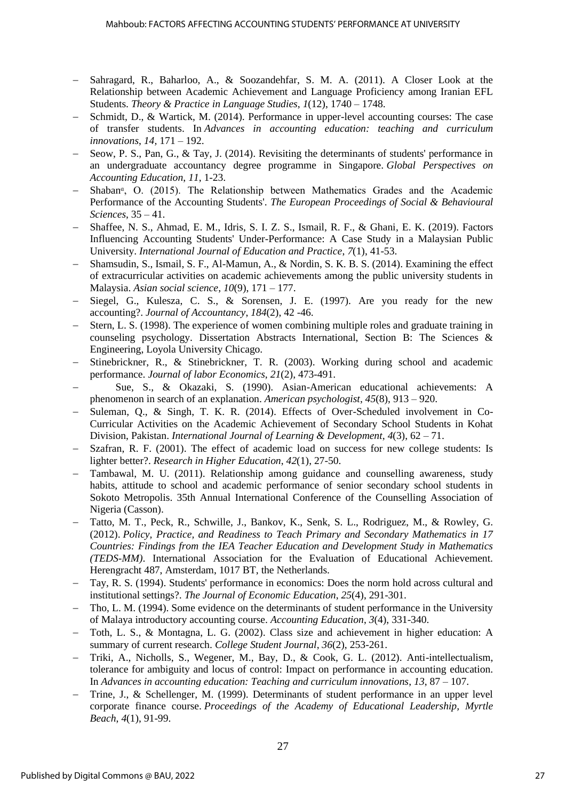- Sahragard, R., Baharloo, A., & Soozandehfar, S. M. A. (2011). A Closer Look at the Relationship between Academic Achievement and Language Proficiency among Iranian EFL Students. *Theory & Practice in Language Studies*, *1*(12), 1740 – 1748.
- Schmidt, D., & Wartick, M. (2014). Performance in upper-level accounting courses: The case of transfer students. In *Advances in accounting education: teaching and curriculum innovations*, *14,* 171 – 192.
- Seow, P. S., Pan, G., & Tay, J. (2014). Revisiting the determinants of students' performance in an undergraduate accountancy degree programme in Singapore. *Global Perspectives on Accounting Education*, *11*, 1-23.
- Shaban<sup>a</sup>, O. (2015). The Relationship between Mathematics Grades and the Academic Performance of the Accounting Students'. *The European Proceedings of Social & Behavioural Sciences*, 35 – 41.
- − Shaffee, N. S., Ahmad, E. M., Idris, S. I. Z. S., Ismail, R. F., & Ghani, E. K. (2019). Factors Influencing Accounting Students' Under-Performance: A Case Study in a Malaysian Public University. *International Journal of Education and Practice*, *7*(1), 41-53.
- − Shamsudin, S., Ismail, S. F., Al-Mamun, A., & Nordin, S. K. B. S. (2014). Examining the effect of extracurricular activities on academic achievements among the public university students in Malaysia. *Asian social science*, *10*(9), 171 – 177.
- − Siegel, G., Kulesza, C. S., & Sorensen, J. E. (1997). Are you ready for the new accounting?. *Journal of Accountancy*, *184*(2), 42 -46.
- Stern, L. S. (1998). The experience of women combining multiple roles and graduate training in counseling psychology. Dissertation Abstracts International, Section B: The Sciences & Engineering, Loyola University Chicago.
- − Stinebrickner, R., & Stinebrickner, T. R. (2003). Working during school and academic performance. *Journal of labor Economics*, *21*(2), 473-491.
- − Sue, S., & Okazaki, S. (1990). Asian-American educational achievements: A phenomenon in search of an explanation. *American psychologist*, *45*(8), 913 – 920.
- − Suleman, Q., & Singh, T. K. R. (2014). Effects of Over-Scheduled involvement in Co-Curricular Activities on the Academic Achievement of Secondary School Students in Kohat Division, Pakistan. *International Journal of Learning & Development*, *4*(3), 62 – 71.
- Szafran, R. F. (2001). The effect of academic load on success for new college students: Is lighter better?. *Research in Higher Education*, *42*(1), 27-50.
- Tambawal, M. U. (2011). Relationship among guidance and counselling awareness, study habits, attitude to school and academic performance of senior secondary school students in Sokoto Metropolis. 35th Annual International Conference of the Counselling Association of Nigeria (Casson).
- − Tatto, M. T., Peck, R., Schwille, J., Bankov, K., Senk, S. L., Rodriguez, M., & Rowley, G. (2012). *Policy, Practice, and Readiness to Teach Primary and Secondary Mathematics in 17 Countries: Findings from the IEA Teacher Education and Development Study in Mathematics (TEDS-MM)*. International Association for the Evaluation of Educational Achievement. Herengracht 487, Amsterdam, 1017 BT, the Netherlands.
- − Tay, R. S. (1994). Students' performance in economics: Does the norm hold across cultural and institutional settings?. *The Journal of Economic Education*, *25*(4), 291-301.
- Tho, L. M. (1994). Some evidence on the determinants of student performance in the University of Malaya introductory accounting course. *Accounting Education*, *3*(4), 331-340.
- − Toth, L. S., & Montagna, L. G. (2002). Class size and achievement in higher education: A summary of current research. *College Student Journal*, *36*(2), 253-261.
- − Triki, A., Nicholls, S., Wegener, M., Bay, D., & Cook, G. L. (2012). Anti-intellectualism, tolerance for ambiguity and locus of control: Impact on performance in accounting education. In *Advances in accounting education: Teaching and curriculum innovations*, *13*, 87 – 107.
- − Trine, J., & Schellenger, M. (1999). Determinants of student performance in an upper level corporate finance course. *Proceedings of the Academy of Educational Leadership, Myrtle Beach*, *4*(1), 91-99.